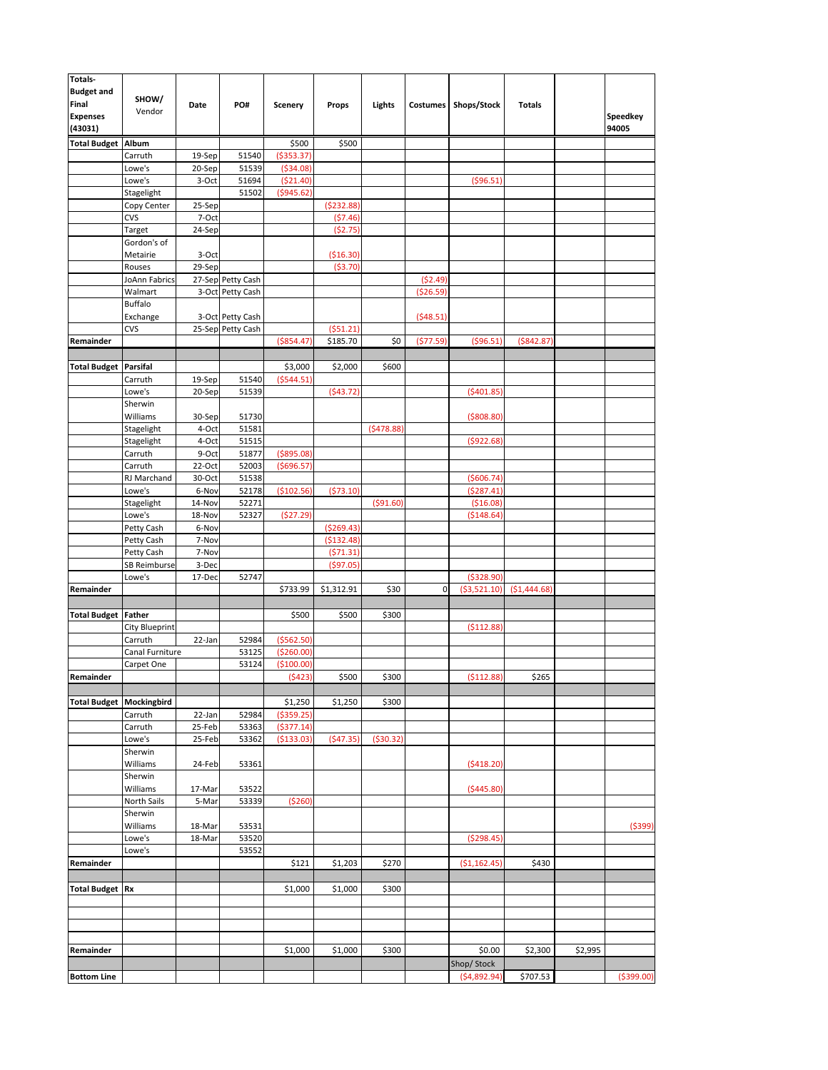| <b>Totals-</b>                    |                            |                  |                   |                           |                        |            |            |              |               |         |             |
|-----------------------------------|----------------------------|------------------|-------------------|---------------------------|------------------------|------------|------------|--------------|---------------|---------|-------------|
| <b>Budget and</b><br>Final        | SHOW/                      | Date             | PO#               | <b>Scenery</b>            | Props                  | Lights     | Costumes   | Shops/Stock  | <b>Totals</b> |         |             |
| <b>Expenses</b>                   | Vendor                     |                  |                   |                           |                        |            |            |              |               |         | Speedkey    |
| (43031)                           |                            |                  |                   |                           |                        |            |            |              |               |         | 94005       |
| <b>Total Budget Album</b>         |                            |                  |                   | \$500                     | \$500                  |            |            |              |               |         |             |
|                                   | Carruth<br>Lowe's          | 19-Sep<br>20-Sep | 51540<br>51539    | ( \$353.37)<br>( \$34.08) |                        |            |            |              |               |         |             |
|                                   | Lowe's                     | 3-Oct            | 51694             | (521.40)                  |                        |            |            | ( \$96.51]   |               |         |             |
|                                   | Stagelight                 |                  | 51502             | (\$945.62)                |                        |            |            |              |               |         |             |
|                                   | Copy Center                | 25-Sep           |                   |                           | ( \$232.88]            |            |            |              |               |         |             |
|                                   | CVS                        | 7-Oct            |                   |                           | (57.46)<br>(52.75)     |            |            |              |               |         |             |
|                                   | Target<br>Gordon's of      | 24-Sep           |                   |                           |                        |            |            |              |               |         |             |
|                                   | Metairie                   | 3-Oct            |                   |                           | ( \$16.30)             |            |            |              |               |         |             |
|                                   | Rouses                     | 29-Sep           |                   |                           | (53.70)                |            |            |              |               |         |             |
|                                   | JoAnn Fabrics              |                  | 27-Sep Petty Cash |                           |                        |            | (52.49)    |              |               |         |             |
|                                   | Walmart                    |                  | 3-Oct Petty Cash  |                           |                        |            | ( \$26.59) |              |               |         |             |
|                                   | <b>Buffalo</b><br>Exchange |                  | 3-Oct Petty Cash  |                           |                        |            | (548.51)   |              |               |         |             |
|                                   | <b>CVS</b>                 |                  | 25-Sep Petty Cash |                           | (551.21)               |            |            |              |               |         |             |
| Remainder                         |                            |                  |                   | ( \$854.47)               | \$185.70               | \$0        | (577.59)   | ( \$96.51)   | ( \$842.87)   |         |             |
|                                   |                            |                  |                   |                           |                        |            |            |              |               |         |             |
| <b>Total Budget Parsifal</b>      |                            |                  |                   | \$3,000                   | \$2,000                | \$600      |            |              |               |         |             |
|                                   | Carruth<br>Lowe's          | 19-Sep<br>20-Sep | 51540<br>51539    | (5544.51)                 | ( \$43.72]             |            |            | (5401.85)    |               |         |             |
|                                   | Sherwin                    |                  |                   |                           |                        |            |            |              |               |         |             |
|                                   | Williams                   | 30-Sep           | 51730             |                           |                        |            |            | ( \$808.80)  |               |         |             |
|                                   | Stagelight                 | 4-Oct            | 51581             |                           |                        | (5478.88)  |            |              |               |         |             |
|                                   | Stagelight                 | 4-Oct            | 51515             |                           |                        |            |            | (5922.68)    |               |         |             |
|                                   | Carruth                    | 9-Oct            | 51877             | ( \$895.08)               |                        |            |            |              |               |         |             |
|                                   | Carruth<br>RJ Marchand     | 22-Oct<br>30-Oct | 52003<br>51538    | (5696.57)                 |                        |            |            | ( \$606.74)  |               |         |             |
|                                   | Lowe's                     | 6-Nov            | 52178             | (\$102.56)                | (573.10)               |            |            | (5287.41)    |               |         |             |
|                                   | Stagelight                 | 14-Nov           | 52271             |                           |                        | ( \$91.60) |            | ( \$16.08]   |               |         |             |
|                                   | Lowe's                     | 18-Nov           | 52327             | (\$27.29)                 |                        |            |            | ( \$148.64]  |               |         |             |
|                                   | Petty Cash                 | 6-Nov            |                   |                           | ( \$269.43]            |            |            |              |               |         |             |
|                                   | Petty Cash<br>Petty Cash   | 7-Nov<br>7-Nov   |                   |                           | (\$132.48)<br>(571.31) |            |            |              |               |         |             |
|                                   | SB Reimburse               | 3-Dec            |                   |                           | ( \$97.05]             |            |            |              |               |         |             |
|                                   | Lowe's                     | 17-Dec           | 52747             |                           |                        |            |            | ( \$328.90)  |               |         |             |
| Remainder                         |                            |                  |                   | \$733.99                  | \$1,312.91             | \$30       | 0          | (\$3,521.10) | (51, 444.68)  |         |             |
|                                   |                            |                  |                   |                           |                        |            |            |              |               |         |             |
| <b>Total Budget Father</b>        | <b>City Blueprint</b>      |                  |                   | \$500                     | \$500                  | \$300      |            | ( \$112.88   |               |         |             |
|                                   | Carruth                    | 22-Jan           | 52984             | ( \$562.50)               |                        |            |            |              |               |         |             |
|                                   | Canal Furniture            |                  | 53125             | (\$260.00)                |                        |            |            |              |               |         |             |
|                                   | Carpet One                 |                  | 53124             | (\$100.00)                |                        |            |            |              |               |         |             |
| Remainder                         |                            |                  |                   | (5423)                    | \$500                  | \$300      |            | (5112.88)    | \$265         |         |             |
| <b>Total Budget   Mockingbird</b> |                            |                  |                   | \$1,250                   | \$1,250                | \$300      |            |              |               |         |             |
|                                   | Carruth                    | 22-Jan           | 52984             | ( \$359.25)               |                        |            |            |              |               |         |             |
|                                   | Carruth                    | 25-Feb           | 53363             | (5377.14)                 |                        |            |            |              |               |         |             |
|                                   | Lowe's                     | 25-Feb           | 53362             | (\$133.03)                | ( \$47.35)             | ( \$30.32) |            |              |               |         |             |
|                                   | Sherwin                    |                  |                   |                           |                        |            |            |              |               |         |             |
|                                   | Williams<br>Sherwin        | 24-Feb           | 53361             |                           |                        |            |            | (5418.20)    |               |         |             |
|                                   | Williams                   | 17-Mar           | 53522             |                           |                        |            |            | (5445.80)    |               |         |             |
|                                   | North Sails                | 5-Mar            | 53339             | ( \$260)                  |                        |            |            |              |               |         |             |
|                                   | Sherwin                    |                  |                   |                           |                        |            |            |              |               |         |             |
|                                   | Williams                   | 18-Mar           | 53531             |                           |                        |            |            | (5298.45)    |               |         | ( \$399)    |
|                                   | Lowe's<br>Lowe's           | 18-Mar           | 53520<br>53552    |                           |                        |            |            |              |               |         |             |
| Remainder                         |                            |                  |                   | \$121                     | \$1,203                | \$270      |            | (\$1,162.45] | \$430         |         |             |
|                                   |                            |                  |                   |                           |                        |            |            |              |               |         |             |
| <b>Total Budget Rx</b>            |                            |                  |                   | \$1,000                   | \$1,000                | \$300      |            |              |               |         |             |
|                                   |                            |                  |                   |                           |                        |            |            |              |               |         |             |
|                                   |                            |                  |                   |                           |                        |            |            |              |               |         |             |
|                                   |                            |                  |                   |                           |                        |            |            |              |               |         |             |
| Remainder                         |                            |                  |                   | \$1,000                   | \$1,000                | \$300      |            | \$0.00       | \$2,300       | \$2,995 |             |
|                                   |                            |                  |                   |                           |                        |            |            | Shop/Stock   |               |         |             |
| <b>Bottom Line</b>                |                            |                  |                   |                           |                        |            |            | (54,892.94)  | \$707.53      |         | ( \$399.00) |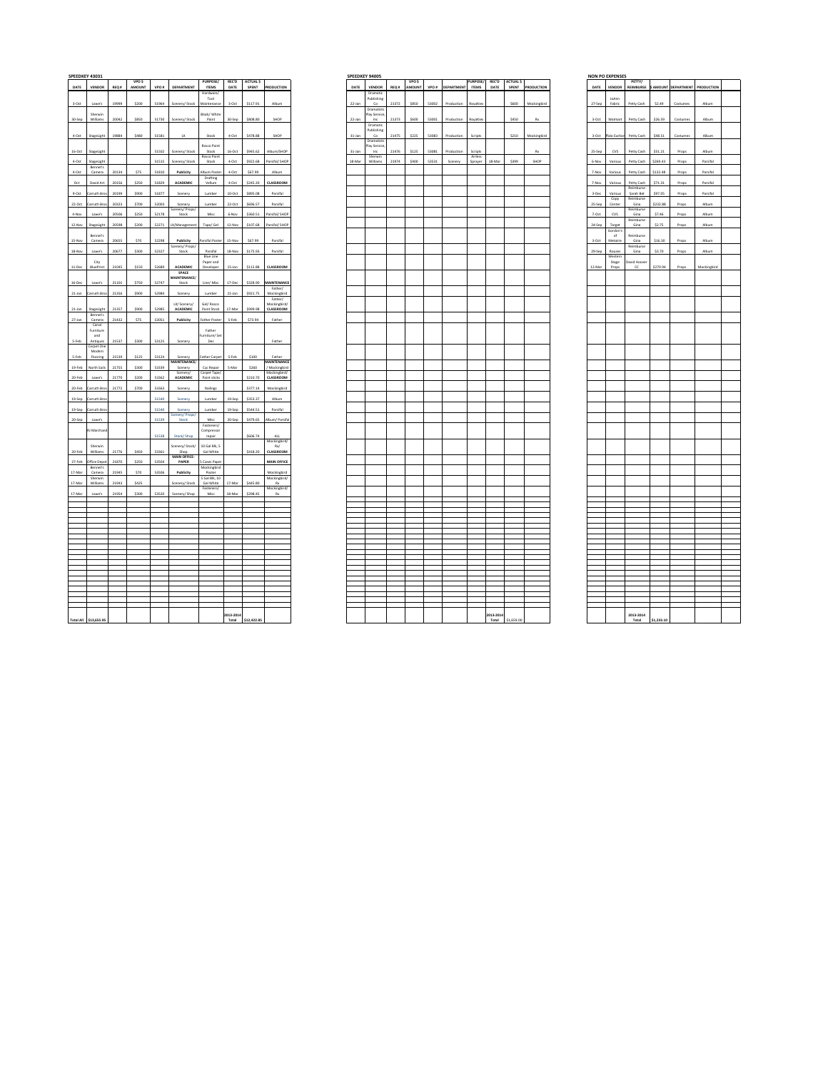|            |                        |       | <b>VPO S</b> |       |                         | <b>PURPOSE/</b>            | <b>REC'D</b> | <b>ACTUALS</b> |                           |
|------------|------------------------|-------|--------------|-------|-------------------------|----------------------------|--------------|----------------|---------------------------|
| DATE       | <b>VENDOR</b>          |       | REQ.# AMOUNT |       | VPO # DEPARTMENT        | <b>ITEMS</b>               | DATE         | SPENT          | PRODUCTION                |
|            |                        |       |              |       |                         | Hardware,                  |              |                |                           |
|            |                        |       |              |       |                         | Tool                       |              |                |                           |
| $3-0ct$    | Lowe's                 | 19999 | \$200        | 51964 | Scenery/ Stock          | Maintenand                 | $3-0ct$      | \$117.91       | Album                     |
|            |                        |       |              |       |                         |                            |              |                |                           |
|            | Shenwin                |       |              |       |                         | Black/ White               |              |                |                           |
| 30-Sep     | Williams               | 20042 | \$850        |       | 51730 Scenery/ Stock    | Paint                      | 30-Sep       | \$808.80       | SHOP                      |
|            |                        |       |              |       |                         |                            |              |                |                           |
|            |                        |       |              |       |                         |                            |              |                |                           |
| $4-0ct$    | StageLight             | 19884 | \$480        | 51581 | ux                      | Stock                      | $4-0ct$      | \$478.88       | SHOP                      |
|            |                        |       |              |       |                         |                            |              |                |                           |
|            |                        |       |              |       |                         | Rosco Paint                |              |                |                           |
| $16-0ct$   | StageLight             |       |              | 51502 | Scenery/ Stock          | Stock                      | $16-0ct$     | \$945.62       | Album/SHOP                |
|            |                        |       |              |       |                         | Rosco Pain                 |              |                |                           |
| $4-0ct$    | StageLight<br>Bennet's |       |              | 51515 | Scenery/ Stock          | Stock                      | 4-Oct        | \$922.68       | arsifal/ SHOP             |
| $4-0ct$    | Camera                 | 20134 | \$75         | 51810 | Publicity               | Album Poste                | 4-Oct        | \$67.99        | Album                     |
|            |                        |       |              |       |                         | Drafting                   |              |                |                           |
| Oct        | David Art              | 20156 | \$250        | 51829 | ACADEMIC                | Vellum                     | 4-Oct        | \$245.20       | CLASSROOM                 |
|            |                        |       |              |       |                         |                            |              |                |                           |
| $9-0ct$    | arruth Bros            | 20199 | \$900        | 51877 | Scenery                 | Lumber                     | $10-0ct$     | \$895.08       | Parsifal                  |
|            |                        |       |              |       |                         |                            |              |                |                           |
| 22-Oct     | arruth Bros            | 20323 | \$700        | 52003 | Scenery                 | Lumber                     | 22-Oct       | \$696.57       | Parsifal                  |
|            |                        |       |              |       | cenery/Props/           |                            |              |                |                           |
| 4-Nov      | Lowe's                 | 20506 | \$250        | 52178 | Stock                   | Misc                       | 6-Nov        | \$360.51       | Parsifal/ SHOP            |
|            |                        |       |              |       |                         |                            |              |                |                           |
| 12-Nov     | StageLight             | 20598 | \$200        |       | 52271 LX/Management     | Tape/ Gel                  | 12-Nov       | \$107.68       | Parsifal/ SHOP            |
|            |                        |       |              |       |                         |                            |              |                |                           |
|            | Bennet's               | 20655 | \$70         | 52298 | Publicity               | Parsifal Poster            | 15-Nov       | \$67.99        | Parsifal                  |
| 15-Nov     | Camera                 |       |              |       |                         |                            |              |                |                           |
| 18-Nov     | Lowe's                 | 20677 | \$300        | 52327 | Scenery/Props/<br>Stock | Parsifal                   | 18-Nov       | \$175.93       | Parsifal                  |
|            |                        |       |              |       |                         | Blue Line                  |              |                |                           |
|            | City                   |       |              |       |                         | Paper and                  |              |                |                           |
| $11 - Dec$ | BluePrint              | 21045 | \$150        | 52689 | ACADEMIC                | Developer                  | 15-Jan       | \$112.88       | CLASSROOM                 |
|            |                        |       |              |       | SPACE                   |                            |              |                |                           |
|            |                        |       |              |       | <b>MAINTENANCE</b>      |                            |              |                |                           |
| 16-Dec     | Lowe's                 | 21101 | \$750        | 52747 | Stock                   | Line/ Misc                 | 17-Dec       | \$328.90       | MAINTENANCE               |
|            |                        |       |              |       |                         |                            |              |                | Father/                   |
| 21-Jan     | arruth Bros            | 21356 | \$900        | 52984 | Scenery                 | Lumber                     | 21-Jan       | S921.75        | Mockingbird               |
|            |                        |       |              |       | LX/Scenery/             | Gel/ Rosco                 |              |                | Father/<br>Mockingbird/   |
|            |                        |       | \$900        | 52985 |                         |                            | 17-Mar       | \$999.98       |                           |
| 21-Jan     | StageLight<br>Bennet's | 21357 |              |       | ACADEMIC                | Paint Stock                |              |                | CLASSROOM                 |
| 27-Jan     | Camera                 | 21432 | \$75         | 53051 | Publicity               | Father Poster              | 5-Feb        | \$73.94        | Father                    |
|            | Canal                  |       |              |       |                         |                            |              |                |                           |
|            | Furniture              |       |              |       |                         | Father                     |              |                |                           |
|            | and                    |       |              |       |                         | Furniture/Set              |              |                |                           |
| 5-Feb      | Antiques               | 21537 | \$300        | 53125 | Scenery                 | Dec                        |              |                | Father                    |
|            | Carpet One             |       |              |       |                         |                            |              |                |                           |
|            | Modern                 |       |              |       |                         |                            |              |                |                           |
| 5-Feb      | Flooring               | 21539 | \$125        | 53124 | Scenery                 | <b>Father Carpet</b>       | 5-Feb        | \$100          | Father                    |
|            |                        |       |              |       | MAINTENANCE/            |                            |              |                | MAINTENANCE               |
| $19$ -Feb  | North Sails            | 21755 | \$300        | 53339 | Scenery<br>Scenery/     | Cyc Repair<br>Carpet Tape/ | 5-Mar        | \$260          | / Mockingbird             |
| 20-Feb     | Lowe's                 | 21770 | \$200        | 53362 | ACADEMIC                | Paint sticks               |              | \$210.70       | Aockingbird/<br>CLASSROOM |
|            |                        |       |              |       |                         |                            |              |                |                           |
| 20-Feb     | rruth Bros             | 21772 | \$700        | 53363 | Scenery                 | Railings                   |              | \$377.14       | Mockingbird               |
|            |                        |       |              |       |                         |                            |              |                |                           |
| 19-Sep     | arruth Bro             |       |              | 51540 | Scenery                 | Lumber                     | 19-Sep       | \$353.37       | Album                     |
|            |                        |       |              |       |                         |                            |              |                |                           |
| 19-Sep     | arruth Bro             |       |              | 51540 | Scenery                 | Lumber                     | 19-Sep       | \$544.51       | Parsifal                  |
|            |                        |       |              |       | Scenery/Props/          |                            |              |                |                           |
| 20-Sep     | Lowe's                 |       |              | 51539 | Stock                   | Misc                       | 20-Sep       | \$479.65       | Album/ Parsifal           |
|            |                        |       |              |       |                         | Fasteners/                 |              |                |                           |
|            | RJ Marchano            |       |              | 51538 | Stock/ Shop             | Compressor                 |              | \$606.74       | <b>ALL</b>                |
|            |                        |       |              |       |                         | repair                     |              |                | Mockingbird/              |
|            | Sherwin                |       |              |       | Scenery/ Stock/         | 10 Gal Rik 5               |              |                | Rx/                       |
| 20-Feb     | Williams               | 21776 | \$450        | 53361 | Shop                    | Gal White                  |              | \$418.20       | CLASSROOM                 |
|            |                        |       |              |       | MAIN OFFICE-            |                            |              |                |                           |
| 27-Feb     | <b>Iffice Depo</b>     | 21870 | \$250        | 53504 | PAPER                   | S Cases Pape               |              |                | <b>MAIN OFFICE</b>        |
|            | Ronnet's               |       |              |       |                         | Mockingbird                |              |                |                           |
| 17-Mar     | Camera                 | 21945 | \$70         | 53506 | Publicity               | Poster                     |              |                | Mockingbird               |
|            | Sherwin                |       |              |       |                         | 5 Gal Blk, 10              |              |                | Mockingbird/              |
| 17-Mar     | Williams               | 21943 | \$425        |       | Scenery/ Stock          | Gal White<br>Fasteners/    | 17-Mar       | \$445.80       | Rx                        |
| 17-Mar     | Lowe's                 | 21954 | \$300        | 53520 | Scenery/ Shop           | Misc                       | 18-Mar       | \$298.45       | Aockingbird/<br>Rx        |
|            |                        |       |              |       |                         |                            |              |                |                           |
|            |                        |       |              |       |                         |                            |              |                |                           |
|            |                        |       |              |       |                         |                            |              |                |                           |
|            |                        |       |              |       |                         |                            |              |                |                           |
|            |                        |       |              |       |                         |                            |              |                |                           |
|            |                        |       |              |       |                         |                            |              |                |                           |
|            |                        |       |              |       |                         |                            |              |                |                           |
|            |                        |       |              |       |                         |                            |              |                |                           |
|            |                        |       |              |       |                         |                            |              |                |                           |
|            |                        |       |              |       |                         |                            |              |                |                           |
|            |                        |       |              |       |                         |                            |              |                |                           |
|            |                        |       |              |       |                         |                            |              |                |                           |
|            |                        |       |              |       |                         |                            |              |                |                           |
|            |                        |       |              |       |                         |                            |              |                |                           |
|            |                        |       |              |       |                         |                            |              |                |                           |
|            |                        |       |              |       |                         |                            |              |                |                           |
|            |                        |       |              |       |                         |                            |              |                |                           |
|            |                        |       |              |       |                         |                            |              |                |                           |
|            |                        |       |              |       |                         |                            |              |                |                           |
|            |                        |       |              |       |                         |                            |              |                |                           |
|            |                        |       |              |       |                         |                            |              |                |                           |
|            |                        |       |              |       |                         |                            | 2013-2014    |                |                           |
|            | Total All \$13,655.95  |       |              |       |                         |                            | Total        | \$12,422.85    |                           |

|                       | SPEEDKEY 43031          |       |                       |       |                            |                                        |           |          |                        |
|-----------------------|-------------------------|-------|-----------------------|-------|----------------------------|----------------------------------------|-----------|----------|------------------------|
| DATE                  | VENDOR REQ #            |       | <b>VPOS</b><br>AMOUNT |       | VPO # DEPARTMENT           | PURPOSE/ REC'D ACTUALS<br><b>ITEMS</b> | DATE      | SPENT    | PRODUCTION             |
|                       |                         |       |                       |       |                            | Hardware/                              |           |          |                        |
|                       |                         |       |                       |       |                            | Tool                                   |           |          |                        |
| $3-0ct$               | Lowe's                  | 19999 | \$200                 | 51964 | Scenery/ Stock Maintenance |                                        | $3-0ct$   | \$117.91 | Album                  |
|                       | Sherwin                 |       |                       |       |                            | Black/ White                           |           |          |                        |
| 30-Sep                | Williams                | 20042 | \$850                 | 51730 | Scenery/ Stock             | Paint                                  | 30-Sep    | \$808.80 | SHOP                   |
|                       |                         |       |                       |       |                            |                                        |           |          |                        |
|                       | 4-Oct StageLight 19884  |       | \$480                 | 51581 | LX                         | Stock                                  | 4-Oct     | \$478.88 | SHOP                   |
|                       |                         |       |                       |       |                            |                                        |           |          |                        |
|                       | 16-Oct StageLight       |       |                       |       | 51502 Scenery/ Stock       | Rosco Paint<br>Stock                   | $16-Oct$  | \$945.62 | Album/SHOP             |
|                       |                         |       |                       |       |                            | Rosco Paint                            |           |          |                        |
| 4-0ct                 | StageLight              |       |                       | 51515 | Scenery/ Stock             | Stock                                  | 4-Oct     | \$922.68 | Parsifal/ SHOP         |
| $4-0ct$               | Ronnet's<br>Camera      | 20134 | \$75                  | 51810 | Publicity                  | Album Poster                           | 4-Oct     | \$67.99  | Album                  |
|                       |                         |       |                       |       |                            | Drafting                               |           |          |                        |
| Oct                   | David Art               | 20156 | \$250                 | 51829 | ACADEMIC                   | Vellum                                 | 4-Oct     | \$245.20 | CLASSROOM              |
| $9-0ct$               | arruth Bros             | 20199 | \$900                 | 51877 | Scenery                    | Lumber                                 | $10-0$ ct | \$895.08 | Parsifal               |
|                       |                         |       |                       |       |                            |                                        |           |          |                        |
| 22-Oct                | arruth Bros             | 20323 | \$700                 | 52003 | Scenery                    | Lumber                                 | 22-Oct    | \$696.57 | Parsifal               |
| 4-Nov                 | Lowe's                  | 20506 | \$250                 | 52178 | Scenery/Props<br>Stock     | Misc                                   | 6-Nov     | \$360.51 | Parsifal/SHOP          |
|                       |                         |       |                       |       |                            |                                        |           |          |                        |
| 12-Nov                | StageLight              | 20598 | \$200                 |       | 52271 LX/Management        | Tape/ Gel 12-Nov                       |           | \$107.68 | Parsifal/ SHOP         |
|                       | Bennet's                |       |                       |       |                            |                                        |           |          |                        |
| 15-Nov                | Camera                  | 20655 | \$70                  | 52298 | Publicity                  | Parsifal Poster                        | 15-Nov    | \$67.99  | Parsifal               |
|                       |                         |       |                       |       | Scenery/ Props/            |                                        |           |          |                        |
| 18-Nov                | Lowe's                  | 20677 | \$300                 | 52327 | Stock                      | Parsifal<br>Blue Line                  | 18-Nov    | \$175.93 | Parsifal               |
|                       | City                    |       |                       |       |                            | Paper and                              |           |          |                        |
| $11 \cdot \text{Dec}$ | BluePrint               | 21045 | \$150                 | 52689 | ACADEMIC                   | Developer                              | 15-Jan    | \$112.88 | CLASSROOM              |
|                       |                         |       |                       |       | SPACE<br>MAINTENANCE/      |                                        |           |          |                        |
| 16-Dec                | Lowe's                  | 21101 | \$750                 | 52747 | Stock                      | Line/ Misc 17-Dec                      |           |          | \$328.90 MAINTENANCE   |
|                       |                         |       |                       |       |                            |                                        |           |          | Father/                |
|                       | 21-Jan Carruth Bros     | 21356 | \$900                 | 52984 | Scenery                    | Lumber                                 | 21-Jan    | \$921.75 | Mockingbird<br>Father/ |
|                       |                         |       |                       |       | LX/Scenery/                | Gel/Rosco                              |           |          | Mockingbird/           |
|                       | 21-Jan StageLight 21357 |       | \$900                 | 52985 | <b>ACADEMIC</b>            | Paint Stock 17-Mar                     |           |          | \$999.98 CLASSROOM     |
| 27-Jan                | Bennet's<br>Camera      | 21432 | \$75                  | 53051 | Publicity                  | Father Poster 5-Feb                    |           | \$73.94  | Father                 |
|                       | Canal                   |       |                       |       |                            |                                        |           |          |                        |
|                       | Furniture               |       |                       |       |                            | Father                                 |           |          |                        |
|                       | and<br>Antiques         | 21537 | \$300                 | 53125 | Scenery                    | Furniture/Set<br>Dec                   |           |          | Father                 |
| 5-Feb                 | Carpet One              |       |                       |       |                            |                                        |           |          |                        |
|                       | Modern                  |       |                       |       |                            |                                        |           |          |                        |
| 5-Feb                 | Flooring                | 21539 | \$125                 | 53124 | Scenery<br>MAINTENANCE/    | Father Carpet 5-Feb                    |           | \$100    | Father<br>MAINTENANCE  |
| 19-Feb                | North Sails             | 21755 | \$300                 | 53339 | Scenery                    | Cyc Repair                             | 5-Mar     | \$260    | / Mockingbiro          |
|                       |                         |       |                       |       | Scenery/                   | Carpet Tapes                           |           |          | Mockingbird            |
| 20-Feb                | Lowe's                  | 21770 | \$200                 | 53362 | <b>ACADEMIC</b>            | Paint sticks                           |           | \$210.70 | CLASSROOM              |
|                       | 20-Feb Carruth Bros     | 21772 | \$700                 | 53363 | Scenery                    | Railings                               |           | \$377.14 | Mockingbird            |
|                       |                         |       |                       |       |                            |                                        |           |          |                        |
| 19-Sep                | arruth Bro              |       |                       | 51540 | Scenery                    | Lumber                                 | 19-Sep    | \$353.37 | Album                  |
| 19-Sep                | arruth Bro              |       |                       | 51540 | Scenery                    | Lumber                                 | 19-Sep    | \$544.51 | Parsifal               |
|                       |                         |       |                       | 51539 | Scenery/Props/             | Misc                                   |           | \$479.65 |                        |
| 20-Sep                | Lowe's                  |       |                       |       | Stock                      | Fasteners/                             | 20-Sep    |          | Album/Parsifal         |
|                       | <b>RJ Marchand</b>      |       |                       |       |                            | Compressor                             |           |          |                        |
|                       |                         |       |                       | 51538 | Stock/ Shop                | repair                                 |           | \$606.74 | $\mathsf{ALL}$         |
|                       | Sherwin                 |       |                       |       | Scenery/Stock/             | 10 Gal Blk, 5                          |           |          | Mockingbird/<br>Rx/    |
| 20-Feb                | Williams                | 21776 | \$450                 | 53361 | Shop                       | Gal White                              |           |          | \$418.20 CLASSROOM     |
| 27-Feb                | Office Depot            | 21870 | \$250                 | 53504 | MAIN OFFICE-<br>PAPER      | Cases Paper                            |           |          | <b>MAIN OFFICE</b>     |
|                       | Bennet's                |       |                       |       |                            | Mockingbird                            |           |          |                        |
| 17-Mar                | Camera                  | 21945 | \$70                  | 53506 | Publicity                  | Poster                                 |           |          | Mockingbird            |
| 17-Mar                | Sherwin<br>Williams     | 21943 | \$425                 |       | Scenery/ Stock             | 5 Gal Bik, 10<br>Gal White 17-Mar      |           | \$445.80 | Mockingbird/<br>Rx     |
|                       |                         |       |                       |       |                            | Fasteners/                             |           |          | Mockingbird/           |
| 17-Mar                | Lowe's                  | 21954 | \$300                 | 53520 | Scenery/ Shop              | Misc                                   | 18-Mar    | \$298.45 | Rx                     |
|                       |                         |       |                       |       |                            |                                        |           |          |                        |
|                       |                         |       |                       |       |                            |                                        |           |          |                        |
|                       |                         |       |                       |       |                            |                                        |           |          |                        |
|                       |                         |       |                       |       |                            |                                        |           |          |                        |
|                       |                         |       |                       |       |                            |                                        |           |          |                        |
|                       |                         |       |                       |       |                            |                                        |           |          |                        |
|                       |                         |       |                       |       |                            |                                        |           |          |                        |
|                       |                         |       |                       |       |                            |                                        |           |          |                        |
|                       |                         |       |                       |       |                            |                                        |           |          |                        |
|                       |                         |       |                       |       |                            |                                        |           |          |                        |
|                       |                         |       |                       |       |                            |                                        |           |          |                        |
|                       |                         |       |                       |       |                            |                                        |           |          |                        |
|                       |                         |       |                       |       |                            |                                        |           |          |                        |
|                       |                         |       |                       |       |                            |                                        |           |          |                        |
|                       |                         |       |                       |       |                            |                                        |           |          |                        |
|                       |                         |       |                       |       |                            |                                        |           |          |                        |
|                       |                         |       |                       |       |                            |                                        |           |          |                        |

| <b>URPOSE/</b>     | <b>REC'D</b> | <b>ACTUAL \$</b> |                   |
|--------------------|--------------|------------------|-------------------|
| <b>ITEMS</b>       | DATE         | SPENT            | <b>PRODUCTION</b> |
|                    |              |                  |                   |
| loyalties          |              | \$600            | Mockingbird       |
| loyalties          |              | \$450            | Rx                |
|                    |              |                  |                   |
| Scripts            |              | \$210            | Mockingbird       |
|                    |              |                  |                   |
| Scripts<br>Airless |              |                  | Rx                |
| Sprayer            | 18-Mar       | \$399            | SHOP              |
|                    |              |                  |                   |
|                    |              |                  |                   |
|                    |              |                  |                   |
|                    |              |                  |                   |
|                    |              |                  |                   |
|                    |              |                  |                   |
|                    |              |                  |                   |
|                    |              |                  |                   |
|                    |              |                  |                   |
|                    |              |                  |                   |
|                    |              |                  |                   |
|                    |              |                  |                   |
|                    |              |                  |                   |
|                    |              |                  |                   |
|                    |              |                  |                   |
|                    |              |                  |                   |
|                    |              |                  |                   |
|                    |              |                  |                   |
|                    |              |                  |                   |
|                    |              |                  |                   |
|                    |              |                  |                   |
|                    |              |                  |                   |
|                    |              |                  |                   |
|                    |              |                  |                   |
|                    |              |                  |                   |
|                    |              |                  |                   |
|                    |              |                  |                   |
|                    |              |                  |                   |
|                    |              |                  |                   |
|                    |              |                  |                   |
|                    |              |                  |                   |
|                    |              |                  |                   |
|                    |              |                  |                   |
|                    |              |                  |                   |
|                    |              |                  |                   |
|                    |              |                  |                   |
|                    |              |                  |                   |
|                    |              |                  |                   |
|                    |              |                  |                   |
|                    |              |                  |                   |
|                    |              |                  |                   |
|                    |              |                  |                   |
|                    |              |                  |                   |
|                    |              |                  |                   |
|                    |              |                  |                   |
|                    |              |                  |                   |
|                    |              |                  |                   |
|                    |              |                  |                   |
|                    |              |                  |                   |
|                    |              |                  |                   |
|                    | 2013-2014    | Total \$1,659.00 |                   |
|                    |              |                  |                   |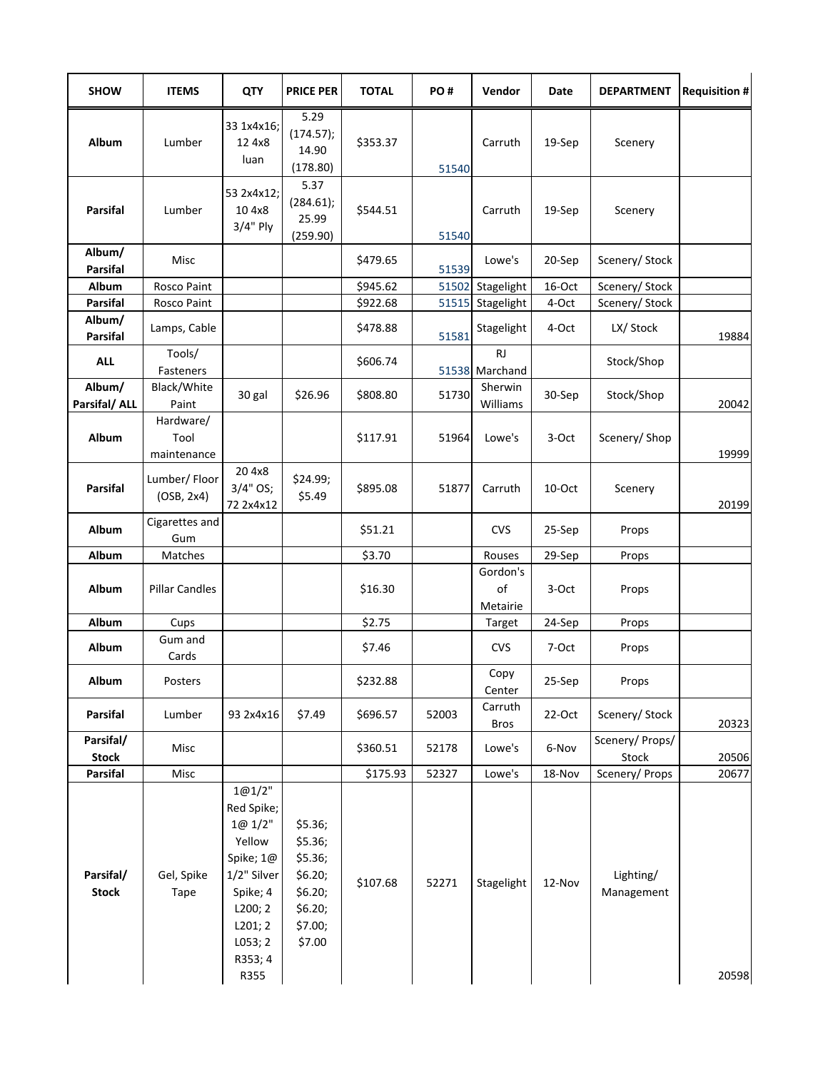| <b>SHOW</b>               | <b>ITEMS</b>                     | <b>QTY</b>                                                                                                                            | <b>PRICE PER</b>                                                                    | <b>TOTAL</b> | PO#   | Vendor                      | Date   | <b>DEPARTMENT</b>        | <b>Requisition #</b> |
|---------------------------|----------------------------------|---------------------------------------------------------------------------------------------------------------------------------------|-------------------------------------------------------------------------------------|--------------|-------|-----------------------------|--------|--------------------------|----------------------|
| Album                     | Lumber                           | 33 1x4x16;<br>12 4x8<br>luan                                                                                                          | 5.29<br>(174.57);<br>14.90<br>(178.80)                                              | \$353.37     | 51540 | Carruth                     | 19-Sep | Scenery                  |                      |
| <b>Parsifal</b>           | Lumber                           | 53 2x4x12;<br>10 4x8<br>$3/4"$ Ply                                                                                                    | 5.37<br>(284.61);<br>25.99<br>(259.90)                                              | \$544.51     | 51540 | Carruth                     | 19-Sep | Scenery                  |                      |
| Album/<br><b>Parsifal</b> | Misc                             |                                                                                                                                       |                                                                                     | \$479.65     | 51539 | Lowe's                      | 20-Sep | Scenery/ Stock           |                      |
| Album                     | Rosco Paint                      |                                                                                                                                       |                                                                                     | \$945.62     | 51502 | Stagelight                  | 16-Oct | Scenery/ Stock           |                      |
| <b>Parsifal</b>           | Rosco Paint                      |                                                                                                                                       |                                                                                     | \$922.68     | 51515 | Stagelight                  | 4-Oct  | Scenery/ Stock           |                      |
| Album/<br><b>Parsifal</b> | Lamps, Cable                     |                                                                                                                                       |                                                                                     | \$478.88     | 51581 | Stagelight                  | 4-Oct  | LX/ Stock                | 19884                |
| <b>ALL</b>                | Tools/<br>Fasteners              |                                                                                                                                       |                                                                                     | \$606.74     |       | <b>RJ</b><br>51538 Marchand |        | Stock/Shop               |                      |
| Album/<br>Parsifal/ ALL   | Black/White<br>Paint             | 30 gal                                                                                                                                | \$26.96                                                                             | \$808.80     | 51730 | Sherwin<br>Williams         | 30-Sep | Stock/Shop               | 20042                |
| Album                     | Hardware/<br>Tool<br>maintenance |                                                                                                                                       |                                                                                     | \$117.91     | 51964 | Lowe's                      | 3-Oct  | Scenery/ Shop            | 19999                |
| <b>Parsifal</b>           | Lumber/Floor<br>(OSB, 2x4)       | 20 4x8<br>3/4" OS;<br>72 2x4x12                                                                                                       | \$24.99;<br>\$5.49                                                                  | \$895.08     | 51877 | Carruth                     | 10-Oct | Scenery                  | 20199                |
| Album                     | Cigarettes and<br>Gum            |                                                                                                                                       |                                                                                     | \$51.21      |       | <b>CVS</b>                  | 25-Sep | Props                    |                      |
| Album                     | Matches                          |                                                                                                                                       |                                                                                     | \$3.70       |       | Rouses                      | 29-Sep | Props                    |                      |
| Album                     | <b>Pillar Candles</b>            |                                                                                                                                       |                                                                                     | \$16.30      |       | Gordon's<br>of<br>Metairie  | 3-Oct  | Props                    |                      |
| Album                     | Cups                             |                                                                                                                                       |                                                                                     | \$2.75       |       | Target                      | 24-Sep | Props                    |                      |
| Album                     | Gum and<br>Cards                 |                                                                                                                                       |                                                                                     | \$7.46       |       | <b>CVS</b>                  | 7-Oct  | Props                    |                      |
| Album                     | Posters                          |                                                                                                                                       |                                                                                     | \$232.88     |       | Copy<br>Center              | 25-Sep | Props                    |                      |
| <b>Parsifal</b>           | Lumber                           | 93 2x4x16                                                                                                                             | \$7.49                                                                              | \$696.57     | 52003 | Carruth<br>Bros             | 22-Oct | Scenery/ Stock           | 20323                |
| Parsifal/<br><b>Stock</b> | Misc                             |                                                                                                                                       |                                                                                     | \$360.51     | 52178 | Lowe's                      | 6-Nov  | Scenery/ Props/<br>Stock | 20506                |
| Parsifal                  | Misc                             |                                                                                                                                       |                                                                                     | \$175.93     | 52327 | Lowe's                      | 18-Nov | Scenery/ Props           | 20677                |
| Parsifal/<br><b>Stock</b> | Gel, Spike<br>Tape               | 1@1/2"<br>Red Spike;<br>1@ 1/2"<br>Yellow<br>Spike; 1@<br>1/2" Silver<br>Spike; 4<br>L200; 2<br>L201; 2<br>L053; 2<br>R353; 4<br>R355 | \$5.36;<br>\$5.36;<br>\$5.36;<br>\$6.20;<br>\$6.20;<br>\$6.20;<br>\$7.00;<br>\$7.00 | \$107.68     | 52271 | Stagelight                  | 12-Nov | Lighting/<br>Management  | 20598                |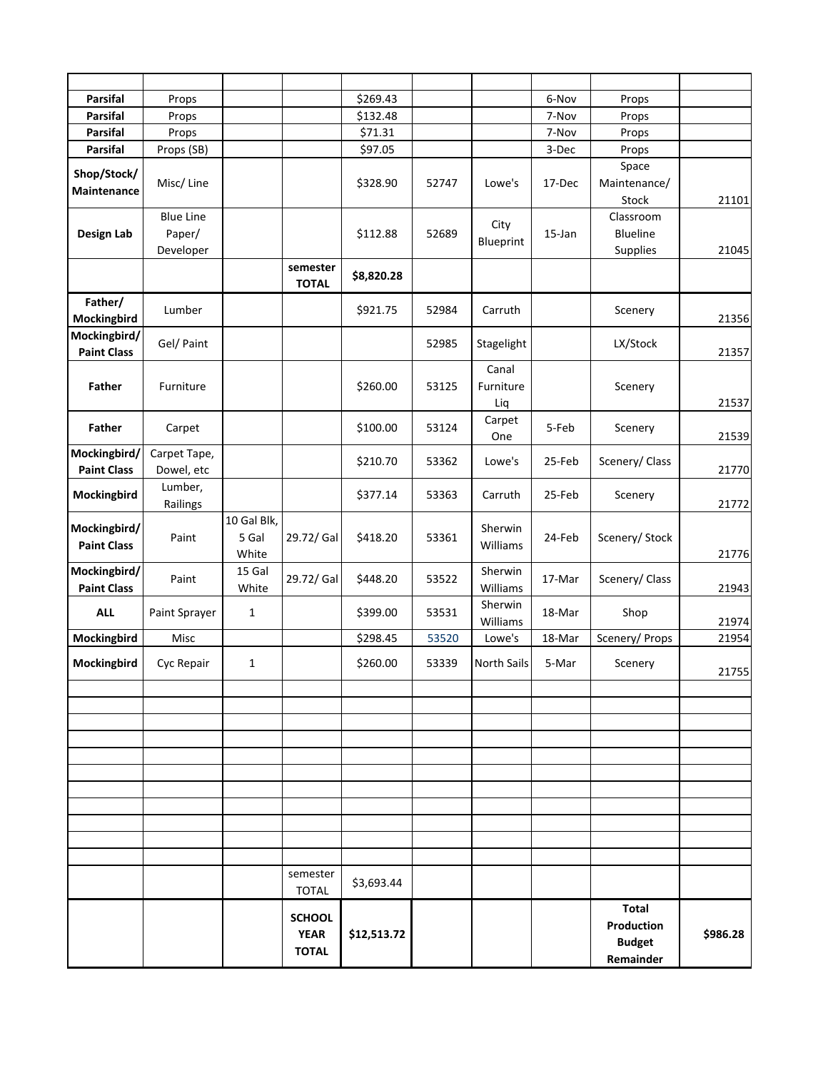| <b>Parsifal</b>    | Props            |              |                          | \$269.43    |       |             | 6-Nov     | Props           |          |
|--------------------|------------------|--------------|--------------------------|-------------|-------|-------------|-----------|-----------------|----------|
| <b>Parsifal</b>    | Props            |              |                          | \$132.48    |       |             | 7-Nov     | Props           |          |
| <b>Parsifal</b>    | Props            |              |                          | \$71.31     |       |             | 7-Nov     | Props           |          |
| <b>Parsifal</b>    | Props (SB)       |              |                          | \$97.05     |       |             | 3-Dec     | Props           |          |
| Shop/Stock/        |                  |              |                          |             |       |             |           | Space           |          |
| Maintenance        | Misc/Line        |              |                          | \$328.90    | 52747 | Lowe's      | 17-Dec    | Maintenance/    |          |
|                    |                  |              |                          |             |       |             |           | Stock           | 21101    |
|                    | <b>Blue Line</b> |              |                          |             |       | City        |           | Classroom       |          |
| Design Lab         | Paper/           |              |                          | \$112.88    | 52689 | Blueprint   | $15$ -Jan | <b>Blueline</b> |          |
|                    | Developer        |              |                          |             |       |             |           | Supplies        | 21045    |
|                    |                  |              | semester                 | \$8,820.28  |       |             |           |                 |          |
|                    |                  |              | <b>TOTAL</b>             |             |       |             |           |                 |          |
| Father/            | Lumber           |              |                          | \$921.75    | 52984 | Carruth     |           | Scenery         |          |
| Mockingbird        |                  |              |                          |             |       |             |           |                 | 21356    |
| Mockingbird/       | Gel/ Paint       |              |                          |             | 52985 | Stagelight  |           | LX/Stock        |          |
| <b>Paint Class</b> |                  |              |                          |             |       |             |           |                 | 21357    |
|                    |                  |              |                          |             |       | Canal       |           |                 |          |
| <b>Father</b>      | Furniture        |              |                          | \$260.00    | 53125 | Furniture   |           | Scenery         |          |
|                    |                  |              |                          |             |       | Liq         |           |                 | 21537    |
| Father             | Carpet           |              |                          | \$100.00    | 53124 | Carpet      | 5-Feb     | Scenery         |          |
| Mockingbird/       | Carpet Tape,     |              |                          |             |       | One         |           |                 | 21539    |
| <b>Paint Class</b> | Dowel, etc       |              |                          | \$210.70    | 53362 | Lowe's      | 25-Feb    | Scenery/ Class  | 21770    |
|                    | Lumber,          |              |                          |             |       |             |           |                 |          |
| Mockingbird        | Railings         |              |                          | \$377.14    | 53363 | Carruth     | 25-Feb    | Scenery         | 21772    |
|                    |                  | 10 Gal Blk,  |                          |             |       |             |           |                 |          |
| Mockingbird/       | Paint            | 5 Gal        | 29.72/ Gal               | \$418.20    | 53361 | Sherwin     | 24-Feb    | Scenery/ Stock  |          |
| <b>Paint Class</b> |                  | White        |                          |             |       | Williams    |           |                 | 21776    |
| Mockingbird/       |                  | 15 Gal       |                          |             |       | Sherwin     |           |                 |          |
| <b>Paint Class</b> | Paint            | White        | 29.72/ Gal               | \$448.20    | 53522 | Williams    | 17-Mar    | Scenery/ Class  | 21943    |
|                    |                  |              |                          |             |       | Sherwin     |           |                 |          |
| <b>ALL</b>         | Paint Sprayer    | $\mathbf{1}$ |                          | \$399.00    | 53531 | Williams    | 18-Mar    | Shop            | 21974    |
| Mockingbird        | Misc             |              |                          | \$298.45    | 53520 | Lowe's      | 18-Mar    | Scenery/ Props  | 21954    |
| Mockingbird        | Cyc Repair       | 1            |                          | \$260.00    | 53339 | North Sails | 5-Mar     | Scenery         |          |
|                    |                  |              |                          |             |       |             |           |                 | 21755    |
|                    |                  |              |                          |             |       |             |           |                 |          |
|                    |                  |              |                          |             |       |             |           |                 |          |
|                    |                  |              |                          |             |       |             |           |                 |          |
|                    |                  |              |                          |             |       |             |           |                 |          |
|                    |                  |              |                          |             |       |             |           |                 |          |
|                    |                  |              |                          |             |       |             |           |                 |          |
|                    |                  |              |                          |             |       |             |           |                 |          |
|                    |                  |              |                          |             |       |             |           |                 |          |
|                    |                  |              |                          |             |       |             |           |                 |          |
|                    |                  |              |                          |             |       |             |           |                 |          |
|                    |                  |              |                          |             |       |             |           |                 |          |
|                    |                  |              | semester<br><b>TOTAL</b> | \$3,693.44  |       |             |           |                 |          |
|                    |                  |              |                          |             |       |             |           | <b>Total</b>    |          |
|                    |                  |              | <b>SCHOOL</b>            |             |       |             |           | Production      |          |
|                    |                  |              | <b>YEAR</b>              | \$12,513.72 |       |             |           | <b>Budget</b>   | \$986.28 |
|                    |                  |              | <b>TOTAL</b>             |             |       |             |           | Remainder       |          |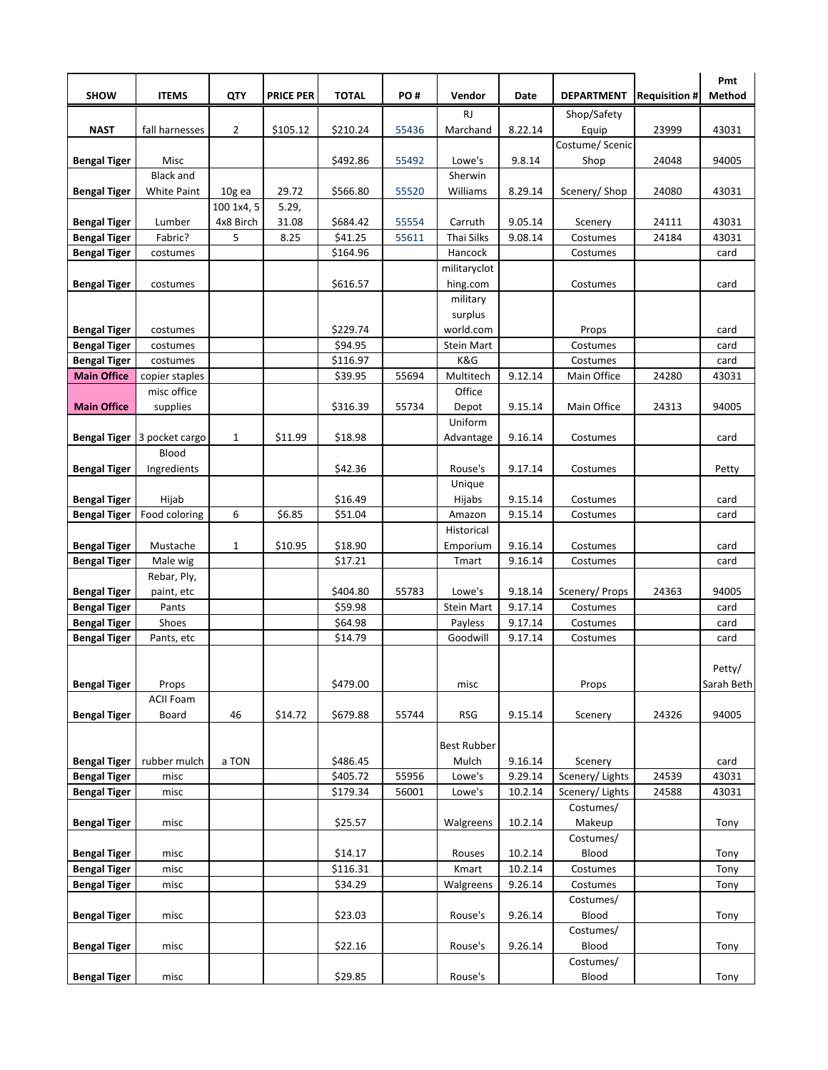|                                            |                               |                |                  |              |       |                      |                    |                          |                      | Pmt          |
|--------------------------------------------|-------------------------------|----------------|------------------|--------------|-------|----------------------|--------------------|--------------------------|----------------------|--------------|
| <b>SHOW</b>                                | <b>ITEMS</b>                  | QTY            | <b>PRICE PER</b> | <b>TOTAL</b> | PO#   | Vendor               | Date               | <b>DEPARTMENT</b>        | <b>Requisition #</b> | Method       |
|                                            |                               |                |                  |              |       | <b>RJ</b>            |                    | Shop/Safety              |                      |              |
| <b>NAST</b>                                | fall harnesses                | $\overline{2}$ | \$105.12         | \$210.24     | 55436 | Marchand             | 8.22.14            | Equip<br>Costume/ Scenic | 23999                | 43031        |
| <b>Bengal Tiger</b>                        | Misc                          |                |                  | \$492.86     | 55492 | Lowe's               | 9.8.14             | Shop                     | 24048                | 94005        |
|                                            | <b>Black and</b>              |                |                  |              |       | Sherwin              |                    |                          |                      |              |
| <b>Bengal Tiger</b>                        | <b>White Paint</b>            | 10g ea         | 29.72            | \$566.80     | 55520 | Williams             | 8.29.14            | Scenery/Shop             | 24080                | 43031        |
|                                            |                               | 100 1x4, 5     | 5.29,            |              |       |                      |                    |                          |                      |              |
| <b>Bengal Tiger</b>                        | Lumber                        | 4x8 Birch      | 31.08            | \$684.42     | 55554 | Carruth              | 9.05.14            | Scenery                  | 24111                | 43031        |
| <b>Bengal Tiger</b>                        | Fabric?                       | 5              | 8.25             | \$41.25      | 55611 | Thai Silks           | 9.08.14            | Costumes                 | 24184                | 43031        |
| <b>Bengal Tiger</b>                        | costumes                      |                |                  | \$164.96     |       | Hancock              |                    | Costumes                 |                      | card         |
|                                            |                               |                |                  |              |       | militaryclot         |                    |                          |                      |              |
| <b>Bengal Tiger</b>                        | costumes                      |                |                  | \$616.57     |       | hing.com             |                    | Costumes                 |                      | card         |
|                                            |                               |                |                  |              |       | military             |                    |                          |                      |              |
|                                            |                               |                |                  | \$229.74     |       | surplus<br>world.com |                    |                          |                      |              |
| <b>Bengal Tiger</b><br><b>Bengal Tiger</b> | costumes<br>costumes          |                |                  | \$94.95      |       | <b>Stein Mart</b>    |                    | Props<br>Costumes        |                      | card<br>card |
| <b>Bengal Tiger</b>                        | costumes                      |                |                  | \$116.97     |       | K&G                  |                    | Costumes                 |                      | card         |
| <b>Main Office</b>                         | copier staples                |                |                  | \$39.95      | 55694 | Multitech            | 9.12.14            | Main Office              | 24280                | 43031        |
|                                            | misc office                   |                |                  |              |       | Office               |                    |                          |                      |              |
| <b>Main Office</b>                         | supplies                      |                |                  | \$316.39     | 55734 | Depot                | 9.15.14            | Main Office              | 24313                | 94005        |
|                                            |                               |                |                  |              |       | Uniform              |                    |                          |                      |              |
|                                            | Bengal Tiger   3 pocket cargo | $\mathbf{1}$   | \$11.99          | \$18.98      |       | Advantage            | 9.16.14            | Costumes                 |                      | card         |
|                                            | Blood                         |                |                  |              |       |                      |                    |                          |                      |              |
| <b>Bengal Tiger</b>                        | Ingredients                   |                |                  | \$42.36      |       | Rouse's              | 9.17.14            | Costumes                 |                      | Petty        |
|                                            |                               |                |                  |              |       | Unique               |                    |                          |                      |              |
| <b>Bengal Tiger</b>                        | Hijab                         |                |                  | \$16.49      |       | Hijabs               | 9.15.14            | Costumes                 |                      | card         |
| <b>Bengal Tiger</b>                        | Food coloring                 | 6              | \$6.85           | \$51.04      |       | Amazon<br>Historical | 9.15.14            | Costumes                 |                      | card         |
| <b>Bengal Tiger</b>                        | Mustache                      | $\mathbf{1}$   | \$10.95          | \$18.90      |       | Emporium             | 9.16.14            | Costumes                 |                      | card         |
| <b>Bengal Tiger</b>                        | Male wig                      |                |                  | \$17.21      |       | Tmart                | 9.16.14            | Costumes                 |                      | card         |
|                                            | Rebar, Ply,                   |                |                  |              |       |                      |                    |                          |                      |              |
| <b>Bengal Tiger</b>                        | paint, etc                    |                |                  | \$404.80     | 55783 | Lowe's               | 9.18.14            | Scenery/ Props           | 24363                | 94005        |
| <b>Bengal Tiger</b>                        | Pants                         |                |                  | \$59.98      |       | Stein Mart           | 9.17.14            | Costumes                 |                      | card         |
| <b>Bengal Tiger</b>                        | Shoes                         |                |                  | \$64.98      |       | Payless              | 9.17.14            | Costumes                 |                      | card         |
| <b>Bengal Tiger</b>                        | Pants, etc                    |                |                  | \$14.79      |       | Goodwill             | 9.17.14            | Costumes                 |                      | card         |
|                                            |                               |                |                  |              |       |                      |                    |                          |                      |              |
|                                            |                               |                |                  |              |       |                      |                    |                          |                      | Petty/       |
| <b>Bengal Tiger</b>                        | Props<br><b>ACII Foam</b>     |                |                  | \$479.00     |       | misc                 |                    | Props                    |                      | Sarah Beth   |
| <b>Bengal Tiger</b>                        | Board                         | 46             | \$14.72          | \$679.88     | 55744 | <b>RSG</b>           | 9.15.14            | Scenery                  | 24326                | 94005        |
|                                            |                               |                |                  |              |       |                      |                    |                          |                      |              |
|                                            |                               |                |                  |              |       | <b>Best Rubber</b>   |                    |                          |                      |              |
| <b>Bengal Tiger</b>                        | rubber mulch                  | a TON          |                  | \$486.45     |       | Mulch                | 9.16.14            | Scenery                  |                      | card         |
| <b>Bengal Tiger</b>                        | misc                          |                |                  | \$405.72     | 55956 | Lowe's               | 9.29.14            | Scenery/ Lights          | 24539                | 43031        |
| <b>Bengal Tiger</b>                        | misc                          |                |                  | \$179.34     | 56001 | Lowe's               | 10.2.14            | Scenery/Lights           | 24588                | 43031        |
|                                            |                               |                |                  |              |       |                      |                    | Costumes/                |                      |              |
| <b>Bengal Tiger</b>                        | misc                          |                |                  | \$25.57      |       | Walgreens            | 10.2.14            | Makeup                   |                      | Tony         |
|                                            |                               |                |                  | \$14.17      |       |                      |                    | Costumes/<br>Blood       |                      |              |
| <b>Bengal Tiger</b><br><b>Bengal Tiger</b> | misc<br>misc                  |                |                  | \$116.31     |       | Rouses<br>Kmart      | 10.2.14<br>10.2.14 | Costumes                 |                      | Tony<br>Tony |
| <b>Bengal Tiger</b>                        | misc                          |                |                  | \$34.29      |       | Walgreens            | 9.26.14            | Costumes                 |                      | Tony         |
|                                            |                               |                |                  |              |       |                      |                    | Costumes/                |                      |              |
| <b>Bengal Tiger</b>                        | misc                          |                |                  | \$23.03      |       | Rouse's              | 9.26.14            | Blood                    |                      | Tony         |
|                                            |                               |                |                  |              |       |                      |                    | Costumes/                |                      |              |
| <b>Bengal Tiger</b>                        | misc                          |                |                  | \$22.16      |       | Rouse's              | 9.26.14            | Blood                    |                      | Tony         |
|                                            |                               |                |                  |              |       |                      |                    | Costumes/                |                      |              |
| <b>Bengal Tiger</b>                        | misc                          |                |                  | \$29.85      |       | Rouse's              |                    | Blood                    |                      | Tony         |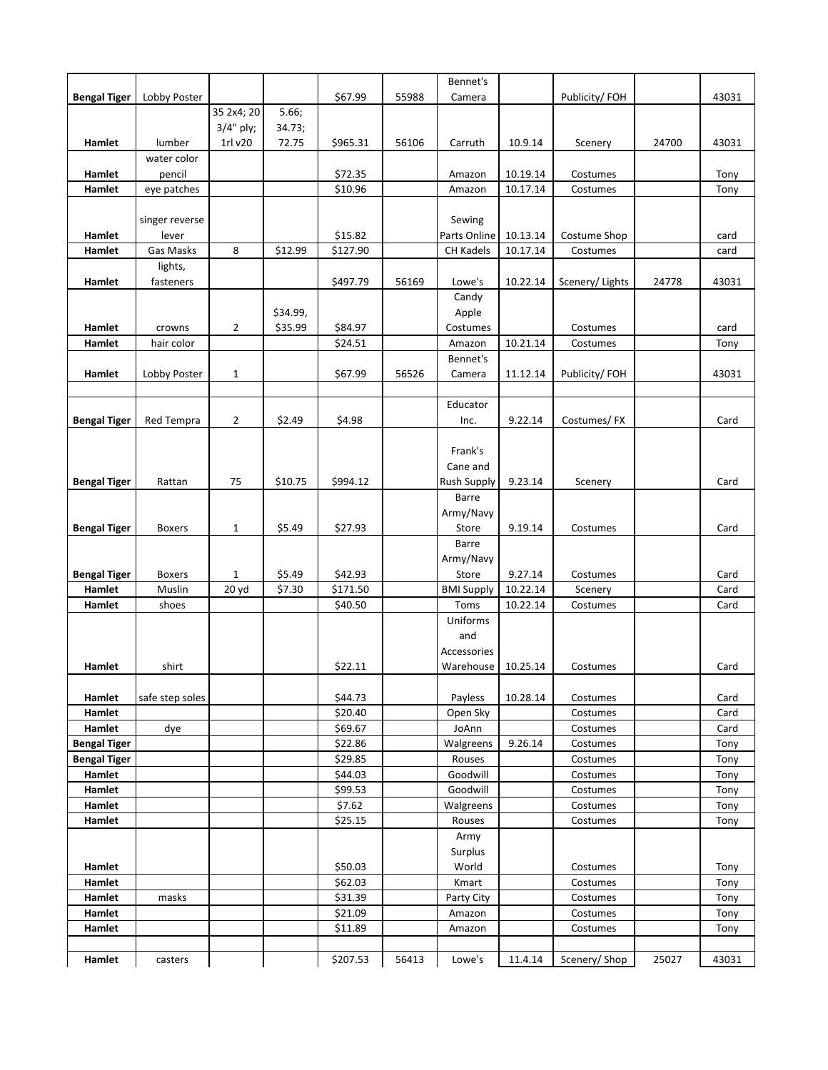|                     |                 |                |          |                    |       | Bennet's              |          |                      |       |              |
|---------------------|-----------------|----------------|----------|--------------------|-------|-----------------------|----------|----------------------|-------|--------------|
| <b>Bengal Tiger</b> | Lobby Poster    |                |          | \$67.99            | 55988 | Camera                |          | Publicity/FOH        |       | 43031        |
|                     |                 | 35 2x4; 20     | 5.66;    |                    |       |                       |          |                      |       |              |
|                     |                 | 3/4" ply;      | 34.73;   |                    |       |                       |          |                      |       |              |
| Hamlet              | lumber          | 1rl v20        | 72.75    | \$965.31           | 56106 | Carruth               | 10.9.14  | Scenery              | 24700 | 43031        |
|                     | water color     |                |          |                    |       |                       |          |                      |       |              |
| Hamlet              | pencil          |                |          | \$72.35            |       | Amazon                | 10.19.14 | Costumes             |       | Tony         |
| Hamlet              | eye patches     |                |          | \$10.96            |       | Amazon                | 10.17.14 | Costumes             |       | Tony         |
|                     |                 |                |          |                    |       |                       |          |                      |       |              |
|                     | singer reverse  |                |          |                    |       | Sewing                |          |                      |       |              |
| Hamlet              | lever           |                |          | \$15.82            |       | Parts Online          | 10.13.14 | Costume Shop         |       | card         |
| Hamlet              | Gas Masks       | 8              | \$12.99  | \$127.90           |       | <b>CH Kadels</b>      | 10.17.14 | Costumes             |       | card         |
|                     | lights,         |                |          |                    |       |                       |          |                      |       |              |
| Hamlet              | fasteners       |                |          | \$497.79           | 56169 | Lowe's                | 10.22.14 | Scenery/Lights       | 24778 | 43031        |
|                     |                 |                |          |                    |       | Candy                 |          |                      |       |              |
|                     |                 |                | \$34.99, |                    |       | Apple                 |          |                      |       |              |
| Hamlet              | crowns          | $\overline{2}$ | \$35.99  | \$84.97            |       | Costumes              |          | Costumes             |       | card         |
| Hamlet              | hair color      |                |          | \$24.51            |       | Amazon                | 10.21.14 | Costumes             |       | Tony         |
|                     |                 |                |          |                    |       | Bennet's              |          |                      |       |              |
| Hamlet              | Lobby Poster    | $\mathbf{1}$   |          | \$67.99            | 56526 | Camera                | 11.12.14 | Publicity/FOH        |       | 43031        |
|                     |                 |                |          |                    |       |                       |          |                      |       |              |
|                     |                 |                |          |                    |       | Educator              |          |                      |       |              |
| <b>Bengal Tiger</b> | Red Tempra      | $\overline{2}$ | \$2.49   | \$4.98             |       | Inc.                  | 9.22.14  | Costumes/FX          |       | Card         |
|                     |                 |                |          |                    |       |                       |          |                      |       |              |
|                     |                 |                |          |                    |       | Frank's               |          |                      |       |              |
|                     |                 |                |          |                    |       | Cane and              |          |                      |       |              |
| <b>Bengal Tiger</b> | Rattan          | 75             | \$10.75  | \$994.12           |       | <b>Rush Supply</b>    | 9.23.14  | Scenery              |       | Card         |
|                     |                 |                |          |                    |       | Barre                 |          |                      |       |              |
|                     |                 |                |          |                    |       | Army/Navy             |          |                      |       |              |
| <b>Bengal Tiger</b> | <b>Boxers</b>   | $\mathbf{1}$   | \$5.49   | \$27.93            |       | Store                 | 9.19.14  | Costumes             |       | Card         |
|                     |                 |                |          |                    |       | Barre                 |          |                      |       |              |
|                     |                 |                |          |                    |       | Army/Navy             |          |                      |       |              |
| <b>Bengal Tiger</b> | <b>Boxers</b>   | 1              | \$5.49   | \$42.93            |       | Store                 | 9.27.14  | Costumes             |       | Card         |
| Hamlet              | Muslin          | 20 yd          | \$7.30   | \$171.50           |       | <b>BMI Supply</b>     | 10.22.14 | Scenery              |       | Card         |
| Hamlet              | shoes           |                |          | \$40.50            |       | Toms                  | 10.22.14 | Costumes             |       | Card         |
|                     |                 |                |          |                    |       | Uniforms              |          |                      |       |              |
|                     |                 |                |          |                    |       | and                   |          |                      |       |              |
|                     |                 |                |          |                    |       | Accessories           |          |                      |       |              |
| <b>Hamlet</b>       | shirt           |                |          | \$22.11            |       | Warehouse             | 10.25.14 | Costumes             |       | Card         |
|                     |                 |                |          |                    |       |                       |          |                      |       |              |
| Hamlet              | safe step soles |                |          | \$44.73            |       | Payless               | 10.28.14 | Costumes             |       | Card         |
| Hamlet              |                 |                |          | \$20.40            |       | Open Sky              |          | Costumes             |       | Card         |
| Hamlet              | dye             |                |          | \$69.67<br>\$22.86 |       | JoAnn                 | 9.26.14  | Costumes             |       | Card         |
| <b>Bengal Tiger</b> |                 |                |          |                    |       | Walgreens             |          | Costumes             |       | Tony         |
| <b>Bengal Tiger</b> |                 |                |          | \$29.85            |       | Rouses                |          | Costumes             |       | Tony         |
| Hamlet<br>Hamlet    |                 |                |          | \$44.03            |       | Goodwill              |          | Costumes             |       | Tony         |
|                     |                 |                |          | \$99.53            |       | Goodwill<br>Walgreens |          | Costumes             |       | Tony         |
| Hamlet<br>Hamlet    |                 |                |          | \$7.62<br>\$25.15  |       | Rouses                |          | Costumes<br>Costumes |       | Tony         |
|                     |                 |                |          |                    |       |                       |          |                      |       | Tony         |
|                     |                 |                |          |                    |       | Army<br>Surplus       |          |                      |       |              |
|                     |                 |                |          | \$50.03            |       | World                 |          |                      |       |              |
| Hamlet<br>Hamlet    |                 |                |          | \$62.03            |       | Kmart                 |          | Costumes<br>Costumes |       | Tony<br>Tony |
| Hamlet              | masks           |                |          | \$31.39            |       |                       |          | Costumes             |       | Tony         |
| Hamlet              |                 |                |          | \$21.09            |       | Party City<br>Amazon  |          | Costumes             |       |              |
| Hamlet              |                 |                |          | \$11.89            |       |                       |          | Costumes             |       | Tony         |
|                     |                 |                |          |                    |       | Amazon                |          |                      |       | Tony         |
|                     |                 |                |          |                    | 56413 |                       |          |                      | 25027 | 43031        |
| Hamlet              | casters         |                |          | \$207.53           |       | Lowe's                | 11.4.14  | Scenery/Shop         |       |              |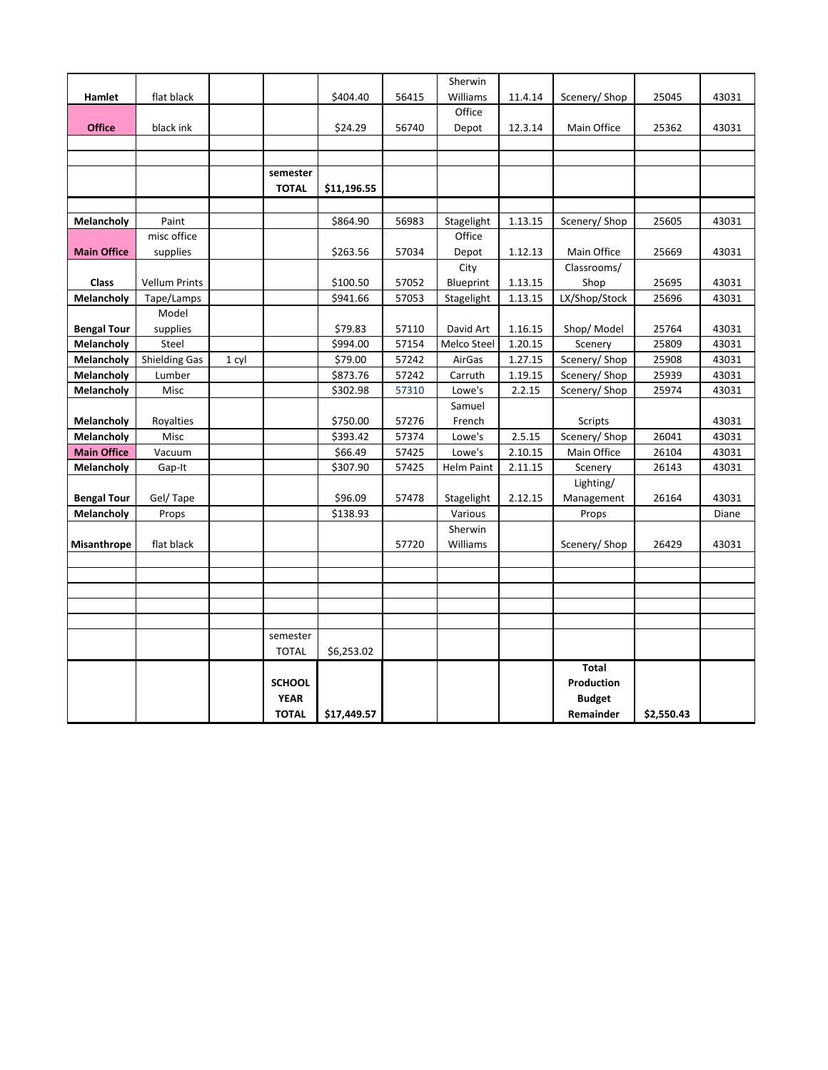|                    |                      |       |               |             |       | Sherwin           |         |               |            |       |
|--------------------|----------------------|-------|---------------|-------------|-------|-------------------|---------|---------------|------------|-------|
| Hamlet             | flat black           |       |               | \$404.40    | 56415 | Williams          | 11.4.14 | Scenery/Shop  | 25045      | 43031 |
|                    |                      |       |               |             |       | Office            |         |               |            |       |
| <b>Office</b>      | black ink            |       |               | \$24.29     | 56740 | Depot             | 12.3.14 | Main Office   | 25362      | 43031 |
|                    |                      |       |               |             |       |                   |         |               |            |       |
|                    |                      |       |               |             |       |                   |         |               |            |       |
|                    |                      |       | semester      |             |       |                   |         |               |            |       |
|                    |                      |       | <b>TOTAL</b>  | \$11,196.55 |       |                   |         |               |            |       |
|                    |                      |       |               |             |       |                   |         |               |            |       |
| Melancholy         | Paint                |       |               | \$864.90    | 56983 | Stagelight        | 1.13.15 | Scenery/ Shop | 25605      | 43031 |
|                    | misc office          |       |               |             |       | Office            |         |               |            |       |
| <b>Main Office</b> | supplies             |       |               | \$263.56    | 57034 | Depot             | 1.12.13 | Main Office   | 25669      | 43031 |
|                    |                      |       |               |             |       | City              |         | Classrooms/   |            |       |
| Class              | <b>Vellum Prints</b> |       |               | \$100.50    | 57052 | Blueprint         | 1.13.15 | Shop          | 25695      | 43031 |
| Melancholy         | Tape/Lamps           |       |               | \$941.66    | 57053 | Stagelight        | 1.13.15 | LX/Shop/Stock | 25696      | 43031 |
|                    | Model                |       |               |             |       |                   |         |               |            |       |
| <b>Bengal Tour</b> | supplies             |       |               | \$79.83     | 57110 | David Art         | 1.16.15 | Shop/Model    | 25764      | 43031 |
| Melancholy         | Steel                |       |               | \$994.00    | 57154 | Melco Steel       | 1.20.15 | Scenery       | 25809      | 43031 |
| Melancholy         | <b>Shielding Gas</b> | 1 cyl |               | \$79.00     | 57242 | AirGas            | 1.27.15 | Scenery/ Shop | 25908      | 43031 |
| Melancholy         | Lumber               |       |               | \$873.76    | 57242 | Carruth           | 1.19.15 | Scenery/ Shop | 25939      | 43031 |
| Melancholy         | Misc                 |       |               | \$302.98    | 57310 | Lowe's            | 2.2.15  | Scenery/Shop  | 25974      | 43031 |
|                    |                      |       |               |             |       | Samuel            |         |               |            |       |
| Melancholy         | Royalties            |       |               | \$750.00    | 57276 | French            |         | Scripts       |            | 43031 |
| Melancholy         | Misc                 |       |               | \$393.42    | 57374 | Lowe's            | 2.5.15  | Scenery/ Shop | 26041      | 43031 |
| <b>Main Office</b> | Vacuum               |       |               | \$66.49     | 57425 | Lowe's            | 2.10.15 | Main Office   | 26104      | 43031 |
| Melancholy         | Gap-It               |       |               | \$307.90    | 57425 | <b>Helm Paint</b> | 2.11.15 | Scenery       | 26143      | 43031 |
|                    |                      |       |               |             |       |                   |         | Lighting/     |            |       |
| <b>Bengal Tour</b> | Gel/Tape             |       |               | \$96.09     | 57478 | Stagelight        | 2.12.15 | Management    | 26164      | 43031 |
| Melancholy         | Props                |       |               | \$138.93    |       | Various           |         | Props         |            | Diane |
|                    |                      |       |               |             |       | Sherwin           |         |               |            |       |
| <b>Misanthrope</b> | flat black           |       |               |             | 57720 | Williams          |         | Scenery/Shop  | 26429      | 43031 |
|                    |                      |       |               |             |       |                   |         |               |            |       |
|                    |                      |       |               |             |       |                   |         |               |            |       |
|                    |                      |       |               |             |       |                   |         |               |            |       |
|                    |                      |       |               |             |       |                   |         |               |            |       |
|                    |                      |       |               |             |       |                   |         |               |            |       |
|                    |                      |       | semester      |             |       |                   |         |               |            |       |
|                    |                      |       | <b>TOTAL</b>  | \$6,253.02  |       |                   |         |               |            |       |
|                    |                      |       |               |             |       |                   |         | <b>Total</b>  |            |       |
|                    |                      |       | <b>SCHOOL</b> |             |       |                   |         | Production    |            |       |
|                    |                      |       | <b>YEAR</b>   |             |       |                   |         | <b>Budget</b> |            |       |
|                    |                      |       | <b>TOTAL</b>  | \$17,449.57 |       |                   |         | Remainder     | \$2.550.43 |       |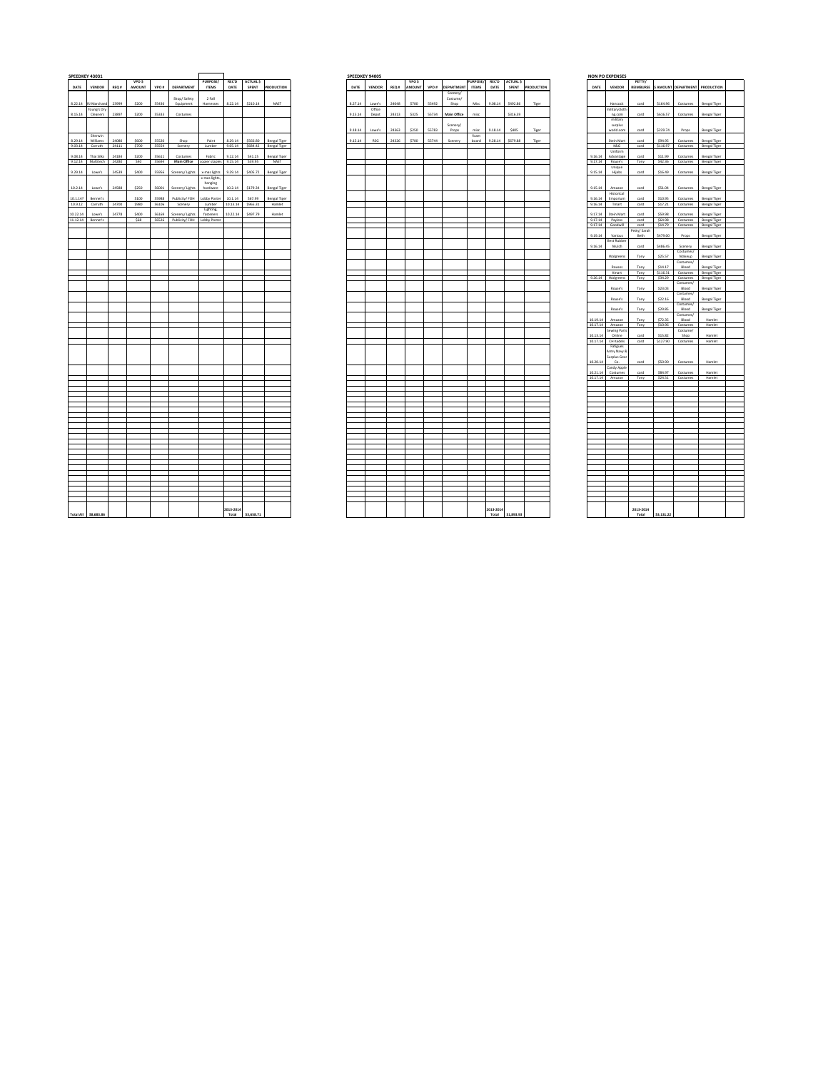|                          | SPEEDKEY 43031      |                                |                |                |                   |                        |          |                 |                  |         | SPEEDKEY 94005 |       |       |       |                                                 |          |         |               |                       |                    | <b>NON PO EXPENSES</b>     |              |                     |                                            |                                       |
|--------------------------|---------------------|--------------------------------|----------------|----------------|-------------------|------------------------|----------|-----------------|------------------|---------|----------------|-------|-------|-------|-------------------------------------------------|----------|---------|---------------|-----------------------|--------------------|----------------------------|--------------|---------------------|--------------------------------------------|---------------------------------------|
|                          |                     |                                | <b>VPO S</b>   |                |                   | <b>PURPOSE/</b>        |          | REC'D ACTUAL \$ |                  |         |                |       | VPO S |       |                                                 | PURPOSE! |         | REC'D ACTUALS |                       |                    |                            | PETTY/       |                     |                                            |                                       |
| DATE                     | VENDOR REQ#         |                                | AMOUNT         |                | VPO # DEPARTMENT  | <b>ITEMS</b>           | DATE     |                 | SPENT PRODUCTION | DATE    | VENDOR         |       |       |       | REQ.# AMOUNT VPO.# DEPARTMENT ITEMS<br>Scenery/ |          |         |               | DATE SPENT PRODUCTION | DATE               | VENDOR                     |              |                     | REIMBURSE \$ AMOUNT DEPARTMENT PRODUCTIO   |                                       |
|                          |                     |                                |                |                | Shop/ Safety      | 2 Fall                 |          |                 |                  |         |                |       |       |       | Costume/                                        |          |         |               |                       |                    |                            |              |                     |                                            |                                       |
|                          | 8.22.14 RJ Marchand | 23999                          | \$200          | 55436          | Equipment         | Harnesses              | 8.22.14  | \$210.14        | NAST             | 8.27.14 | Lowe's         | 24048 | 5700  | 55492 | Shop                                            | Misc     | 9.08.14 | \$492.86      | Tiger                 |                    | Hancock                    | card         | \$164.96            | Costumes                                   | Bengal Tiger                          |
| Young's Dry              |                     | 23897                          | \$200          | 55333          |                   |                        |          |                 |                  | 9.15.14 | Office         | 24313 | \$325 | 55734 | Main Office                                     | mise     |         | \$316.39      |                       |                    | militarycloth              |              | \$616.57            |                                            |                                       |
| Cleaners                 |                     |                                |                |                | Costumes          |                        |          |                 |                  |         | Depot          |       |       |       |                                                 |          |         |               |                       |                    | ng.com<br>military         | card         |                     | Costumes                                   | Bengal Tiger                          |
|                          |                     |                                |                |                |                   |                        |          |                 |                  |         |                |       |       |       | Scenery/                                        |          |         |               |                       |                    | surplus                    |              |                     |                                            |                                       |
|                          |                     |                                |                |                |                   |                        |          |                 |                  | 9.18.14 | Lowe's         | 24363 | \$250 | 55783 | Props                                           | misc     | 9.18.14 | \$405         | Tiger                 |                    | world.com                  | card         | \$229.74            | Props                                      | Bengal Tiger                          |
| Sherwin                  |                     |                                |                |                |                   |                        |          |                 |                  |         |                |       |       |       |                                                 | foam     |         |               |                       |                    |                            |              |                     |                                            | Bengal Tiger                          |
| Williams                 |                     | 24080<br>9.03.14 Carruth 24111 | \$600<br>\$700 | 55520<br>55554 | Shop<br>Scenery   | Paint<br>Lumber        | 8.29.14  | \$566.80        | Bengal Tiger     | 9.15.14 | RSG            | 24326 | \$700 | 55744 | Scenery                                         | board    | 9.28.14 | \$679.88      | Tiger                 |                    | Stein Mart<br>K&G          | card<br>card | \$94.95             | Costumes<br>\$116.97 Costumes Bengal Tiger |                                       |
|                          |                     |                                |                |                |                   |                        |          |                 |                  |         |                |       |       |       |                                                 |          |         |               |                       |                    | <b>Heiferm</b>             |              |                     |                                            |                                       |
| Thai Silks               |                     | 24184                          | \$200          | 55611          | Costumes          | Fabric                 | 9.12.14  | \$41.25         | Bengal Tiger     |         |                |       |       |       |                                                 |          |         |               |                       | 9.16.14            | Advantage                  | card         | \$11.99             | Costumes                                   | Bengal Tiger                          |
|                          |                     | 9.12.14 Multitech 24280        | \$40           |                | 55694 Main Office | copier staples 9.15.14 |          | \$39.95         | NAST             |         |                |       |       |       |                                                 |          |         |               |                       | 9.17.14            | Rouse's                    | Tony         | \$42.36             | Costumes Bengal Tiger                      |                                       |
| Lowe's                   |                     | 24539                          | sann           | 55956          | Scenery/Lights    | x-mas lights           | 9.29.14  | \$405.72        | Bengal Tiger     |         |                |       |       |       |                                                 |          |         |               |                       | 91514              | Unique<br>Hilabs           | card         | \$16.49             | Costumes                                   | Bengal Tiger                          |
|                          |                     |                                |                |                |                   | x-mas lights           |          |                 |                  |         |                |       |       |       |                                                 |          |         |               |                       |                    |                            |              |                     |                                            |                                       |
|                          |                     |                                |                |                |                   | hanging                |          |                 |                  |         |                |       |       |       |                                                 |          |         |               |                       |                    |                            |              |                     |                                            |                                       |
| 10.2.14<br>Lowe's        |                     | 24588                          | \$250          | 56001          | Scenery/Lights    | hardware               | 10.2.14  | \$179.34        | Bengal Tiger     |         |                |       |       |       |                                                 |          |         |               |                       | 9.15.14            | Amazon                     | card         | \$51.04             | Costumes                                   | Bengal Tiger                          |
| Bennet's                 |                     |                                | \$100          | 55988          | Publicity/FOH     | Lobby Poste            | 10.1.14  | \$67.99         | Bengal Tiger     |         |                |       |       |       |                                                 |          |         |               |                       | 9.16.14            | Historical<br>Emporium     | card         | \$10.95             | Costumes                                   | Bengal Tiger                          |
| 10.9.12<br>Carruth 24700 |                     |                                | \$980          | 56106          | Scenery           | Lumber                 | 10.13.14 | \$965.31        | Hamlet           |         |                |       |       |       |                                                 |          |         |               |                       | 9.16.14            | Tmart                      | card         | \$17.21             | Costumes                                   | Bengal Tiger                          |
|                          |                     |                                |                |                |                   | Lighting               |          |                 |                  |         |                |       |       |       |                                                 |          |         |               |                       |                    |                            |              |                     |                                            |                                       |
| Lowe's                   |                     | 24778                          | \$400          | 56169          | Scenery/Lights    | fasteners              | 10.22.14 | \$497.79        | Hamlet           |         |                |       |       |       |                                                 |          |         |               |                       | 9.17.14            | Stein Mart                 | card         | \$59.98             | Costumes                                   | Bengal Tiger                          |
| 11.12.14 Bennet's        |                     |                                | SER            | 56526          | Publicity/FOH     | Lobby Poster           |          |                 |                  |         |                |       |       |       |                                                 |          |         |               |                       | 9.17.14<br>9.17.14 | Payless<br>Goodwill        | card<br>card | S64.98<br>\$14.79   | Costumes                                   | Bengal Tiger<br>Costumes Bengal Tiger |
|                          |                     |                                |                |                |                   |                        |          |                 |                  |         |                |       |       |       |                                                 |          |         |               |                       |                    |                            | Petty/ Sarah |                     |                                            |                                       |
|                          |                     |                                |                |                |                   |                        |          |                 |                  |         |                |       |       |       |                                                 |          |         |               |                       | 9.19.14            | Various                    | Beth         | \$479.00            | Props                                      | Bengal Tiger                          |
|                          |                     |                                |                |                |                   |                        |          |                 |                  |         |                |       |       |       |                                                 |          |         |               |                       |                    | <b>Rest Rubber</b>         |              |                     |                                            |                                       |
|                          |                     |                                |                |                |                   |                        |          |                 |                  |         |                |       |       |       |                                                 |          |         |               |                       | 9.16.14            | Mulch                      | card         | \$486.45            | Scenery<br>Costumes/                       | Bengal Tiger                          |
|                          |                     |                                |                |                |                   |                        |          |                 |                  |         |                |       |       |       |                                                 |          |         |               |                       |                    | Walgreens                  | Tony         | \$25.57             | Makeup                                     | Bengal Tiger                          |
|                          |                     |                                |                |                |                   |                        |          |                 |                  |         |                |       |       |       |                                                 |          |         |               |                       |                    |                            |              |                     | Costumes/                                  |                                       |
|                          |                     |                                |                |                |                   |                        |          |                 |                  |         |                |       |       |       |                                                 |          |         |               |                       |                    | Rouses                     | Tony         | \$14.17             | Blood                                      | Bengal Tiger                          |
|                          |                     |                                |                |                |                   |                        |          |                 |                  |         |                |       |       |       |                                                 |          |         |               |                       |                    | Kmart<br>9.26.14 Walgreens | Tony<br>Tony | \$116.31<br>\$34.29 | Costumes                                   | Bengal Tiger<br>Bengal Tiger          |
|                          |                     |                                |                |                |                   |                        |          |                 |                  |         |                |       |       |       |                                                 |          |         |               |                       |                    |                            |              |                     | Costumes<br>Costumes/                      |                                       |
|                          |                     |                                |                |                |                   |                        |          |                 |                  |         |                |       |       |       |                                                 |          |         |               |                       |                    | Rouse's                    | Tony         | \$23.03             | Blood                                      | Bengal Tiger                          |
|                          |                     |                                |                |                |                   |                        |          |                 |                  |         |                |       |       |       |                                                 |          |         |               |                       |                    |                            |              |                     | Costumes/                                  |                                       |
|                          |                     |                                |                |                |                   |                        |          |                 |                  |         |                |       |       |       |                                                 |          |         |               |                       |                    | Rouse's                    | Tony         | \$22.16             | Blood<br>Costumes/                         | Bengal Tiger                          |
|                          |                     |                                |                |                |                   |                        |          |                 |                  |         |                |       |       |       |                                                 |          |         |               |                       |                    | Rouse's                    | Tony         | \$29.85             | Blood                                      | Bengal Tiger                          |
|                          |                     |                                |                |                |                   |                        |          |                 |                  |         |                |       |       |       |                                                 |          |         |               |                       |                    |                            |              |                     | Costumes/                                  |                                       |
|                          |                     |                                |                |                |                   |                        |          |                 |                  |         |                |       |       |       |                                                 |          |         |               |                       | 10 19 14           | Amazon                     | Tony         | \$72.35             | Blood                                      | Hamlet                                |
|                          |                     |                                |                |                |                   |                        |          |                 |                  |         |                |       |       |       |                                                 |          |         |               |                       | 10.17.14           | Amazon<br>ewing Parts      | Tony         | \$10.96             | Costumes<br>Costume/                       | Hamlet                                |
|                          |                     |                                |                |                |                   |                        |          |                 |                  |         |                |       |       |       |                                                 |          |         |               |                       | 10 13 14           | Online                     | card         | \$15.87             | Shop                                       | Hamlet                                |
|                          |                     |                                |                |                |                   |                        |          |                 |                  |         |                |       |       |       |                                                 |          |         |               |                       |                    | 10.17.14 CH Kadels         | card         | \$127.90            | Costumes                                   | Hamlet                                |
|                          |                     |                                |                |                |                   |                        |          |                 |                  |         |                |       |       |       |                                                 |          |         |               |                       |                    | Fatigues                   |              |                     |                                            |                                       |
|                          |                     |                                |                |                |                   |                        |          |                 |                  |         |                |       |       |       |                                                 |          |         |               |                       |                    | Army Navy &                |              |                     |                                            |                                       |
|                          |                     |                                |                |                |                   |                        |          |                 |                  |         |                |       |       |       |                                                 |          |         |               |                       | 10.20.14           | Surplus Gear<br>Co.        | card         | \$50.90             | Costumes                                   | Hamlet                                |
|                          |                     |                                |                |                |                   |                        |          |                 |                  |         |                |       |       |       |                                                 |          |         |               |                       |                    | Jandy Apple                |              |                     |                                            |                                       |
|                          |                     |                                |                |                |                   |                        |          |                 |                  |         |                |       |       |       |                                                 |          |         |               |                       | 10.21.14           | Costumes                   | card         | \$84.97             | Costumes                                   | Hamlet                                |
|                          |                     |                                |                |                |                   |                        |          |                 |                  |         |                |       |       |       |                                                 |          |         |               |                       |                    | 10.17.14 Amazon            | Tony         | \$24.51             | Costumes                                   | Hamlet                                |
|                          |                     |                                |                |                |                   |                        |          |                 |                  |         |                |       |       |       |                                                 |          |         |               |                       |                    |                            |              |                     |                                            |                                       |
|                          |                     |                                |                |                |                   |                        |          |                 |                  |         |                |       |       |       |                                                 |          |         |               |                       |                    |                            |              |                     |                                            |                                       |
|                          |                     |                                |                |                |                   |                        |          |                 |                  |         |                |       |       |       |                                                 |          |         |               |                       |                    |                            |              |                     |                                            |                                       |
|                          |                     |                                |                |                |                   |                        |          |                 |                  |         |                |       |       |       |                                                 |          |         |               |                       |                    |                            |              |                     |                                            |                                       |
|                          |                     |                                |                |                |                   |                        |          |                 |                  |         |                |       |       |       |                                                 |          |         |               |                       |                    |                            |              |                     |                                            |                                       |
|                          |                     |                                |                |                |                   |                        |          |                 |                  |         |                |       |       |       |                                                 |          |         |               |                       |                    |                            |              |                     |                                            |                                       |
|                          |                     |                                |                |                |                   |                        |          |                 |                  |         |                |       |       |       |                                                 |          |         |               |                       |                    |                            |              |                     |                                            |                                       |
|                          |                     |                                |                |                |                   |                        |          |                 |                  |         |                |       |       |       |                                                 |          |         |               |                       |                    |                            |              |                     |                                            |                                       |
|                          |                     |                                |                |                |                   |                        |          |                 |                  |         |                |       |       |       |                                                 |          |         |               |                       |                    |                            |              |                     |                                            |                                       |
|                          |                     |                                |                |                |                   |                        |          |                 |                  |         |                |       |       |       |                                                 |          |         |               |                       |                    |                            |              |                     |                                            |                                       |
|                          |                     |                                |                |                |                   |                        |          |                 |                  |         |                |       |       |       |                                                 |          |         |               |                       |                    |                            |              |                     |                                            |                                       |
|                          |                     |                                |                |                |                   |                        |          |                 |                  |         |                |       |       |       |                                                 |          |         |               |                       |                    |                            |              |                     |                                            |                                       |
|                          |                     |                                |                |                |                   |                        |          |                 |                  |         |                |       |       |       |                                                 |          |         |               |                       |                    |                            |              |                     |                                            |                                       |
|                          |                     |                                |                |                |                   |                        |          |                 |                  |         |                |       |       |       |                                                 |          |         |               |                       |                    |                            |              |                     |                                            |                                       |
|                          |                     |                                |                |                |                   |                        |          |                 |                  |         |                |       |       |       |                                                 |          |         |               |                       |                    |                            |              |                     |                                            |                                       |
|                          |                     |                                |                |                |                   |                        |          |                 |                  |         |                |       |       |       |                                                 |          |         |               |                       |                    |                            |              |                     |                                            |                                       |
|                          |                     |                                |                |                |                   |                        |          |                 |                  |         |                |       |       |       |                                                 |          |         |               |                       |                    |                            |              |                     |                                            |                                       |
|                          |                     |                                |                |                |                   |                        |          |                 |                  |         |                |       |       |       |                                                 |          |         |               |                       |                    |                            |              |                     |                                            |                                       |
|                          |                     |                                |                |                |                   |                        |          |                 |                  |         |                |       |       |       |                                                 |          |         |               |                       |                    |                            |              |                     |                                            |                                       |

|          | <b>PEEDKEY 43031</b>            |       |                       |              |                                            |                               |           |                        |                                      | SPEEDKEY 94005 |                  |       |        |       |                               |              |                   |                        |                  |                 | <b>NON PO EXPENSES</b>        |              |                    |                                          |                              |
|----------|---------------------------------|-------|-----------------------|--------------|--------------------------------------------|-------------------------------|-----------|------------------------|--------------------------------------|----------------|------------------|-------|--------|-------|-------------------------------|--------------|-------------------|------------------------|------------------|-----------------|-------------------------------|--------------|--------------------|------------------------------------------|------------------------------|
|          | DATE VENDOR                     | REQ # | <b>VPOS</b><br>AMOUNT |              | VPO # DEPARTMENT                           | PURPOSE/<br><b>ITEMS</b>      | DATE      | REC'D ACTUALS<br>SPENT | PRODUCTION                           | DATE           | VENDOR           |       | VPO \$ |       | REQ # AMOUNT VPO # DEPARTMENT | <b>ITEMS</b> | DATE              | PURPOSE/ REC'D ACTUALS | SPENT PRODUCTION | DATE            | VENDOR                        | PETTY/       |                    | REIMBURSE \$ AMOUNT DEPARTMENT PRODUCTIO |                              |
|          |                                 |       |                       |              |                                            |                               |           |                        |                                      |                |                  |       |        |       | Scenery/                      |              |                   |                        |                  |                 |                               |              |                    |                                          |                              |
|          |                                 |       |                       |              | Shop/ Safety                               | 2 Fall                        |           |                        |                                      |                |                  |       |        |       | Costume/                      |              |                   |                        |                  |                 |                               |              |                    |                                          |                              |
|          | 8.22.14 RJ Marchand             | 23999 | \$200                 | 55436        | Equipment                                  | Harnesses                     | 8.22.14   | \$210.14               | NAST                                 | 8.27.14        | Towe's<br>Office | 24048 | \$700  | 55492 | Shop                          | Misc         | 9.08.14   5492.86 |                        | Tiger            |                 | Hancock<br>militarycloth      | card         | \$164.96           | Costumes                                 | Bengal Tiger                 |
|          | Young's Dry<br>8.15.14 Cleaners | 23897 | \$200                 | 55333        | Costumes                                   |                               |           |                        |                                      | 9.15.14        | Depot            | 24313 | \$325  | 55734 | Main Office                   | misc         |                   | \$316.39               |                  |                 | ng.com                        | card         | \$616.57           | Costumes                                 | Bengal Tiger                 |
|          |                                 |       |                       |              |                                            |                               |           |                        |                                      |                |                  |       |        |       |                               |              |                   |                        |                  |                 | military                      |              |                    |                                          |                              |
|          |                                 |       |                       |              |                                            |                               |           |                        |                                      |                |                  |       |        |       | Scenery/                      |              |                   |                        |                  |                 | surplus                       |              |                    |                                          |                              |
|          | Sherwin                         |       |                       |              |                                            |                               |           |                        |                                      | 9.18.14        | Lowe's           | 24363 | \$250  | 55783 | Props                         | misc<br>foam | 9.18.14           | \$405                  | Tiger            |                 | world.com                     | card         | \$229.74           | Props                                    | Bengal Tiger                 |
| 8.29.14  | Williams                        | 24080 | senn                  | 55520        | Shop                                       | Paint                         | 8.29.14   | \$566.80               | Bengal Tiger                         | 9.15.14        | <b>RSG</b>       | 24326 | \$700  | 55744 | Scenery                       | board        | 9.28.14           | \$679.88               | Tiger            |                 | Stein Mart                    | card         | \$94.95            | Costumes                                 | Bengal Tiger                 |
|          | 9.03.14 Carruth                 | 24111 | \$700                 | 55554        | Scenery                                    |                               |           |                        | Lumber 9.05.14 \$684.42 Bengal Tiger |                |                  |       |        |       |                               |              |                   |                        |                  |                 | K&G                           | card         |                    | \$116.97 Costumes                        | Bengal Tiger                 |
| 9.08.14  | Thai Silks                      | 24184 | \$200                 | 55611        | Costumes                                   | Fabric                        | 9.12.14   | \$41.25                | Bengal Tiger                         |                |                  |       |        |       |                               |              |                   |                        |                  | 9.16.14         | Uniform<br>Advantage          | card         | \$11.99            | Costumes                                 | Bengal Tiger                 |
|          | 9.12.14 Multitech               | 24280 |                       | \$40   55694 | Main Office copier staples 9.15.14 \$39.95 |                               |           |                        | NAST                                 |                |                  |       |        |       |                               |              |                   |                        |                  |                 | 9.17.14 Rouse's               | Tony         |                    | \$42.36 Costumes Bengal Tiger            |                              |
|          |                                 |       |                       |              |                                            |                               |           |                        |                                      |                |                  |       |        |       |                               |              |                   |                        |                  |                 | Unique                        |              |                    |                                          |                              |
| 9.29.14  | Lowe's                          | 24539 | \$400                 | 55956        | Scenery/Lights                             | x-mas lights<br>x-mas lights. | 9.29.14   | \$405.72               | Bengal Tiger                         |                |                  |       |        |       |                               |              |                   |                        |                  | 9.15.14         | Hijabs                        | card         | \$16.49            | Costumes                                 | Bengal Tiger                 |
|          |                                 |       |                       |              |                                            | hanging                       |           |                        |                                      |                |                  |       |        |       |                               |              |                   |                        |                  |                 |                               |              |                    |                                          |                              |
| 10.2.14  | Lowe's                          | 24588 | \$250                 | 56001        | Scenery/Lights                             | hardware                      | 10.2.14   | \$179.34               | Bengal Tiger                         |                |                  |       |        |       |                               |              |                   |                        |                  | 9.15.14         | Amazon                        | card         | \$51.04            | Costumes                                 | Bengal Tiger                 |
| 10.1.14? | Bennet's                        |       | \$100                 | SSRRR        | Publicity/FOH                              | Lobby Poster                  | 10114     | \$67.99                | Bengal Tiger                         |                |                  |       |        |       |                               |              |                   |                        |                  | 9.16.14         | Historical<br>Emporium        | card         | \$10.95            | Costumes                                 | Bengal Tiger                 |
|          | 10.9.12 Carruth                 | 24700 | \$980                 | 56106        | Scenery                                    | Lumber                        | 10.13.14  | \$965.31               | Hamlet                               |                |                  |       |        |       |                               |              |                   |                        |                  | 9.16.14         | Tmart                         | card         | \$17.21            | Costumes                                 | Bengal Tiger                 |
|          |                                 | 24778 |                       | 56169        | Scenery/Lights                             | Lighting,                     | 10.22.14  | \$497.79               |                                      |                |                  |       |        |       |                               |              |                   |                        |                  | 9.17.14         |                               |              |                    |                                          |                              |
| 10.22.14 | Lowe's<br>11.12.14 Bennet's     |       | \$400<br>\$68         |              | 56526 Publicity/ FOH Lobby Poster          | fasteners                     |           |                        | Hamlet                               |                |                  |       |        |       |                               |              |                   |                        |                  |                 | Stein Mart<br>9.17.14 Payless | card<br>card | \$59.98<br>\$64.98 | Costumes<br>Costumes                     | Bengal Tiger<br>Bengal Tiger |
| a.       |                                 |       |                       |              |                                            |                               |           |                        |                                      |                |                  |       |        |       |                               |              |                   |                        |                  |                 | 9.17.14 Goodwill              | card         | \$14.79            | Costumes                                 | Bengal Tigen                 |
|          |                                 |       |                       |              |                                            |                               |           |                        |                                      |                |                  |       |        |       |                               |              |                   |                        |                  |                 |                               | Petty/ Sarah |                    |                                          |                              |
|          |                                 |       |                       |              |                                            |                               |           |                        |                                      |                |                  |       |        |       |                               |              |                   |                        |                  | 9.19.14         | Various<br><b>Best Rubber</b> | Beth         | \$479.00           | Props                                    | Bengal Tiger                 |
|          |                                 |       |                       |              |                                            |                               |           |                        |                                      |                |                  |       |        |       |                               |              |                   |                        |                  | 9.16.14         | Mulch                         | card         | \$486.45           | Scenery                                  | Bengal Tiger                 |
|          |                                 |       |                       |              |                                            |                               |           |                        |                                      |                |                  |       |        |       |                               |              |                   |                        |                  |                 |                               |              |                    | Costumes/                                |                              |
|          |                                 |       |                       |              |                                            |                               |           |                        |                                      |                |                  |       |        |       |                               |              |                   |                        |                  |                 | Walgreens                     | Tony         | \$25.57            | Makeup<br>Costumes/                      | Bengal Tiger                 |
|          |                                 |       |                       |              |                                            |                               |           |                        |                                      |                |                  |       |        |       |                               |              |                   |                        |                  |                 | Rouses                        | Tony         | \$14.17            | Blood                                    | Bengal Tiger                 |
|          |                                 |       |                       |              |                                            |                               |           |                        |                                      |                |                  |       |        |       |                               |              |                   |                        |                  |                 | Kmart                         | Tony         | \$116.31           | Costumes                                 | Bengal Tiger                 |
|          |                                 |       |                       |              |                                            |                               |           |                        |                                      |                |                  |       |        |       |                               |              |                   |                        |                  |                 | 9.26.14 Walgreens             | Tony         | \$34.29            | Costumes<br>Costumes/                    | Bengal Tiger                 |
|          |                                 |       |                       |              |                                            |                               |           |                        |                                      |                |                  |       |        |       |                               |              |                   |                        |                  |                 | Rouse's                       | Tony         | \$23.03            | Blood                                    | Bengal Tiger                 |
|          |                                 |       |                       |              |                                            |                               |           |                        |                                      |                |                  |       |        |       |                               |              |                   |                        |                  |                 | Rouxe's                       |              | \$22.16            | Costumes/<br>Blood                       |                              |
|          |                                 |       |                       |              |                                            |                               |           |                        |                                      |                |                  |       |        |       |                               |              |                   |                        |                  |                 |                               | Tony         |                    | Costumes/                                | Bengal Tiger                 |
|          |                                 |       |                       |              |                                            |                               |           |                        |                                      |                |                  |       |        |       |                               |              |                   |                        |                  |                 | Rouse's                       | Tony         | \$29.85            | Blood                                    | Bengal Tiger                 |
|          |                                 |       |                       |              |                                            |                               |           |                        |                                      |                |                  |       |        |       |                               |              |                   |                        |                  | 10 19 14        | Amazon                        | Tony         | \$72.35            | Costumes/<br>Blood                       | Hamlet                       |
|          |                                 |       |                       |              |                                            |                               |           |                        |                                      |                |                  |       |        |       |                               |              |                   |                        |                  | 10.17.14 Amazon |                               | Tony         | \$10.96            | Costumes                                 | Hamlet                       |
|          |                                 |       |                       |              |                                            |                               |           |                        |                                      |                |                  |       |        |       |                               |              |                   |                        |                  |                 | iewing Part                   |              |                    | Costume/                                 |                              |
|          |                                 |       |                       |              |                                            |                               |           |                        |                                      |                |                  |       |        |       |                               |              |                   |                        |                  | 10.13.14        | Online<br>10.17.14 CH Kadels  | card<br>card | \$15.82            | Shop<br>\$127.90 Costumes                | Hamlet<br>Hamlet             |
|          |                                 |       |                       |              |                                            |                               |           |                        |                                      |                |                  |       |        |       |                               |              |                   |                        |                  |                 | Fatigues                      |              |                    |                                          |                              |
|          |                                 |       |                       |              |                                            |                               |           |                        |                                      |                |                  |       |        |       |                               |              |                   |                        |                  |                 | Army Navy &                   |              |                    |                                          |                              |
|          |                                 |       |                       |              |                                            |                               |           |                        |                                      |                |                  |       |        |       |                               |              |                   |                        |                  | 10.20.14        | Surplus Gear<br>Co.           | card         | \$50.90            | Costumes                                 | Hamlet                       |
|          |                                 |       |                       |              |                                            |                               |           |                        |                                      |                |                  |       |        |       |                               |              |                   |                        |                  |                 | Candy Apple                   |              |                    |                                          |                              |
|          |                                 |       |                       |              |                                            |                               |           |                        |                                      |                |                  |       |        |       |                               |              |                   |                        |                  | 10.21.14        | Costumes                      | card         | \$84.97            | Costumes                                 | Hamlet                       |
|          |                                 |       |                       |              |                                            |                               |           |                        |                                      |                |                  |       |        |       |                               |              |                   |                        |                  |                 | 10.17.14 Amazon               | Tony         | \$24.51            | Costumes                                 | Hamlet                       |
|          |                                 |       |                       |              |                                            |                               |           |                        |                                      |                |                  |       |        |       |                               |              |                   |                        |                  |                 |                               |              |                    |                                          |                              |
|          |                                 |       |                       |              |                                            |                               |           |                        |                                      |                |                  |       |        |       |                               |              |                   |                        |                  |                 |                               |              |                    |                                          |                              |
|          |                                 |       |                       |              |                                            |                               |           |                        |                                      |                |                  |       |        |       |                               |              |                   |                        |                  |                 |                               |              |                    |                                          |                              |
|          |                                 |       |                       |              |                                            |                               |           |                        |                                      |                |                  |       |        |       |                               |              |                   |                        |                  |                 |                               |              |                    |                                          |                              |
|          |                                 |       |                       |              |                                            |                               |           |                        |                                      |                |                  |       |        |       |                               |              |                   |                        |                  |                 |                               |              |                    |                                          |                              |
|          |                                 |       |                       |              |                                            |                               |           |                        |                                      |                |                  |       |        |       |                               |              |                   |                        |                  |                 |                               |              |                    |                                          |                              |
|          |                                 |       |                       |              |                                            |                               |           |                        |                                      |                |                  |       |        |       |                               |              |                   |                        |                  |                 |                               |              |                    |                                          |                              |
|          |                                 |       |                       |              |                                            |                               |           |                        |                                      |                |                  |       |        |       |                               |              |                   |                        |                  |                 |                               |              |                    |                                          |                              |
|          |                                 |       |                       |              |                                            |                               |           |                        |                                      |                |                  |       |        |       |                               |              |                   |                        |                  |                 |                               |              |                    |                                          |                              |
|          |                                 |       |                       |              |                                            |                               |           |                        |                                      |                |                  |       |        |       |                               |              |                   |                        |                  |                 |                               |              |                    |                                          |                              |
|          |                                 |       |                       |              |                                            |                               |           |                        |                                      |                |                  |       |        |       |                               |              |                   |                        |                  |                 |                               |              |                    |                                          |                              |
|          |                                 |       |                       |              |                                            |                               |           |                        |                                      |                |                  |       |        |       |                               |              |                   |                        |                  |                 |                               |              |                    |                                          |                              |
|          |                                 |       |                       |              |                                            |                               |           |                        |                                      |                |                  |       |        |       |                               |              |                   |                        |                  |                 |                               |              |                    |                                          |                              |
|          |                                 |       |                       |              |                                            |                               |           |                        |                                      |                |                  |       |        |       |                               |              |                   |                        |                  |                 |                               |              |                    |                                          |                              |
|          |                                 |       |                       |              |                                            |                               |           |                        |                                      |                |                  |       |        |       |                               |              |                   |                        |                  |                 |                               |              |                    |                                          |                              |
|          |                                 |       |                       |              |                                            |                               |           |                        |                                      |                |                  |       |        |       |                               |              |                   |                        |                  |                 |                               |              |                    |                                          |                              |
|          |                                 |       |                       |              |                                            |                               |           |                        |                                      |                |                  |       |        |       |                               |              |                   |                        |                  |                 |                               |              |                    |                                          |                              |
|          |                                 |       |                       |              |                                            |                               | 2013-2014 |                        |                                      |                |                  |       |        |       |                               |              | 2013-2014         |                        |                  |                 |                               | 2013-2014    |                    |                                          |                              |
|          | Total All \$8,683.86            |       |                       |              |                                            |                               | Total     | \$3,658.71             |                                      |                |                  |       |        |       |                               |              |                   | Total \$1,893.93       |                  |                 |                               | Total        | \$3,131.22         |                                          |                              |

|                  |                          |                      |                         |            |                      | <b>NON PO EXPENSES</b>   |                      |                    |                               |                     |  |
|------------------|--------------------------|----------------------|-------------------------|------------|----------------------|--------------------------|----------------------|--------------------|-------------------------------|---------------------|--|
| ARTMENT          | PURPOSE.<br><b>ITEMS</b> | <b>REC'D</b><br>DATE | <b>ACTUALS</b><br>SPENT | PRODUCTION | DATE                 | VENDOR                   | PETTY/               |                    | REIMBURSE S AMOUNT DEPARTMENT | PRODUCTION          |  |
|                  |                          |                      |                         |            |                      |                          |                      |                    |                               |                     |  |
| enery/<br>stume/ | Misc                     | 9.08.14              | \$492.86                | Tiger      |                      | Hancock                  | card                 | \$164.96           | Costumes                      | Bengal Tiger        |  |
| in Office        | misc                     |                      | \$316.39                |            |                      | militaryclothi<br>ng.com | card                 | \$616.57           | Costumes                      | Bengal Tiger        |  |
|                  |                          |                      |                         |            |                      | military                 |                      |                    |                               |                     |  |
| enery/<br>Props  | misc                     | 9.18.14              | \$405                   | Tiger      |                      | surplus<br>world.com     | card                 | \$229.74           | Props                         | Bengal Tiger        |  |
| enery            | foam<br>board            | 9.28.14              | \$679.88                | Tiger      |                      | Stein Mart               | card                 | \$94.95            | Costumes                      | Bengal Tiger        |  |
|                  |                          |                      |                         |            |                      | K&G                      | card                 | \$116.97           | Costumes                      | <b>Bengal Tiger</b> |  |
|                  |                          |                      |                         |            |                      | Uniform                  |                      |                    |                               |                     |  |
|                  |                          |                      |                         |            | 9.16.14              | Advantage                | card                 | \$11.99            | Costumes                      | Bengal Tiger        |  |
|                  |                          |                      |                         |            | 9.17.14              | Rouse's                  | Tony                 | \$42.36            | Costumes                      | <b>Bengal Tiger</b> |  |
|                  |                          |                      |                         |            | 9.15.14              | Unique<br>Hijabs         | card                 | \$16.49            | Costumes                      | Bengal Tiger        |  |
|                  |                          |                      |                         |            |                      |                          |                      |                    |                               |                     |  |
|                  |                          |                      |                         |            | 9.15.14              | Amazon                   | card                 | \$51.04            | Costumes                      | Bengal Tiger        |  |
|                  |                          |                      |                         |            |                      | Historical               |                      |                    |                               |                     |  |
|                  |                          |                      |                         |            | 9.16.14              | Emporium                 | card                 | \$10.95            | Costumes                      | Bengal Tiger        |  |
|                  |                          |                      |                         |            | 9.16.14              | Tmart                    | card                 | \$17.21            | Costumes                      | Bengal Tiger        |  |
|                  |                          |                      |                         |            | 9.17.14              | Stein Mart               | card                 | \$59.98            | Costumes                      | Bengal Tiger        |  |
|                  |                          |                      |                         |            | 9.17.14              | Payless                  | card                 | \$64.98            | Costumes                      | Bengal Tiger        |  |
|                  |                          |                      |                         |            | 9.17.14              | Goodwill                 | card                 | \$14.79            | Costumes                      | Bengal Tiger        |  |
|                  |                          |                      |                         |            | 9.19.14              | Various                  | Petty/ Sarah<br>Beth | \$479.00           |                               |                     |  |
|                  |                          |                      |                         |            |                      | <b>Rest Rubber</b>       |                      |                    | Props                         | Bengal Tiger        |  |
|                  |                          |                      |                         |            | 9.16.14              | Mulch                    | card                 | \$486.45           | Scenery<br>Costumes/          | Bengal Tiger        |  |
|                  |                          |                      |                         |            |                      | Walgreens                | Tony                 | \$25.57            | Makeup<br>Costumes/           | Bengal Tiger        |  |
|                  |                          |                      |                         |            |                      | Rouses                   | Tony                 | \$14.17            | Blood                         | Bengal Tiger        |  |
|                  |                          |                      |                         |            |                      | Kmart                    | Tony                 | \$116.31           | Costumes                      | Bengal Tiger        |  |
|                  |                          |                      |                         |            | 9.26.14              | Walgreens                | Tony                 | \$34.29            | Costumes                      | <b>Bengal Tiger</b> |  |
|                  |                          |                      |                         |            |                      | Rouse's                  | Tony                 | \$23.03            | Costumes/<br>Blood            | Bengal Tiger        |  |
|                  |                          |                      |                         |            |                      | Rouse's                  | Tony                 | \$22.16            | Costumes/<br>Blood            | Bengal Tiger        |  |
|                  |                          |                      |                         |            |                      | Rouse's                  | Tony                 | \$29.85            | Costumes/<br>Blood            | Bengal Tiger        |  |
|                  |                          |                      |                         |            |                      |                          |                      |                    | Costumes/                     |                     |  |
|                  |                          |                      |                         |            | 10.19.14<br>10.17.14 | Amazon<br>Amazon         | Tony<br>Tony         | \$72.35<br>\$10.96 | Blood<br>Costumes             | Hamlet<br>Hamlet    |  |
|                  |                          |                      |                         |            |                      | <b>Sewing Parts</b>      |                      |                    | Costume/                      |                     |  |
|                  |                          |                      |                         |            | 10.13.14             | Online                   | card                 | \$15.82            | Shop                          | Hamlet              |  |
|                  |                          |                      |                         |            | 10.17.14             | CH Kadels                | card                 | \$127.90           | Costumes                      | Hamlet              |  |
|                  |                          |                      |                         |            |                      | Fatigues<br>Army Navy &  |                      |                    |                               |                     |  |
|                  |                          |                      |                         |            | 10.20.14             | Surplus Gear<br>Co.      | card                 | \$50.90            | Costumes                      | Hamlet              |  |
|                  |                          |                      |                         |            | 10.21.14             | Candy Apple<br>Costumes  | card                 | \$84.97            | Costumes                      | Hamlet              |  |
|                  |                          |                      |                         |            | 10.17.14             | Amazon                   | Tony                 | \$24.51            | Costumes                      | Hamlet              |  |
|                  |                          |                      |                         |            |                      |                          |                      |                    |                               |                     |  |
|                  |                          |                      |                         |            |                      |                          |                      |                    |                               |                     |  |
|                  |                          |                      |                         |            |                      |                          |                      |                    |                               |                     |  |
|                  |                          |                      |                         |            |                      |                          |                      |                    |                               |                     |  |
|                  |                          |                      |                         |            |                      |                          |                      |                    |                               |                     |  |
|                  |                          |                      |                         |            |                      |                          |                      |                    |                               |                     |  |
|                  |                          |                      |                         |            |                      |                          |                      |                    |                               |                     |  |
|                  |                          |                      |                         |            |                      |                          |                      |                    |                               |                     |  |
|                  |                          |                      |                         |            |                      |                          |                      |                    |                               |                     |  |
|                  |                          |                      |                         |            |                      |                          |                      |                    |                               |                     |  |
|                  |                          |                      |                         |            |                      |                          |                      |                    |                               |                     |  |
|                  |                          |                      |                         |            |                      |                          |                      |                    |                               |                     |  |
|                  |                          |                      |                         |            |                      |                          |                      |                    |                               |                     |  |
|                  |                          |                      |                         |            |                      |                          |                      |                    |                               |                     |  |
|                  |                          |                      |                         |            |                      |                          |                      |                    |                               |                     |  |
|                  |                          |                      |                         |            |                      |                          |                      |                    |                               |                     |  |
|                  |                          |                      |                         |            |                      |                          |                      |                    |                               |                     |  |
|                  |                          |                      |                         |            |                      |                          |                      |                    |                               |                     |  |
|                  |                          |                      |                         |            |                      |                          |                      |                    |                               |                     |  |
|                  |                          |                      |                         |            |                      |                          |                      |                    |                               |                     |  |
|                  |                          |                      |                         |            |                      |                          |                      |                    |                               |                     |  |
|                  |                          | 2013-2014<br>Total   | \$1,893.93              |            |                      |                          | 2013-2014<br>Total   | \$3,131.22         |                               |                     |  |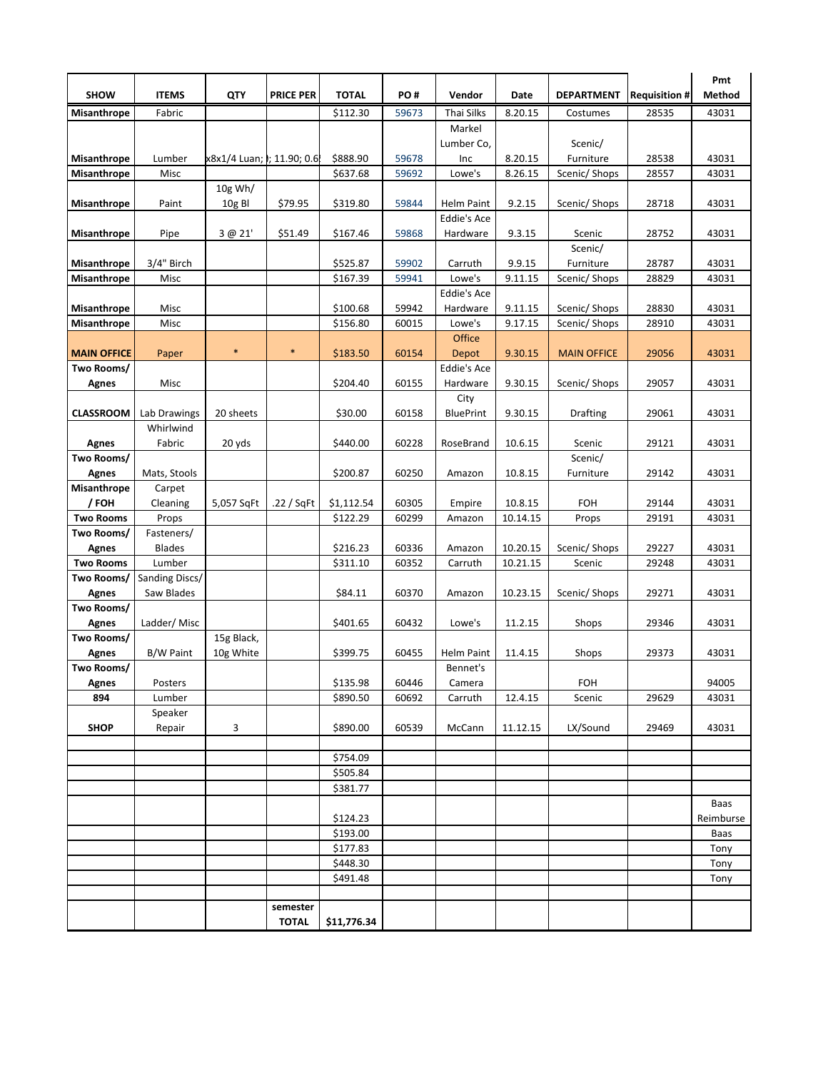| <b>SHOW</b>                | <b>ITEMS</b>              | QTY                        | <b>PRICE PER</b> | <b>TOTAL</b> | PO#   | Vendor             | Date     | <b>DEPARTMENT</b>  | <b>Requisition #</b> | Pmt<br>Method            |
|----------------------------|---------------------------|----------------------------|------------------|--------------|-------|--------------------|----------|--------------------|----------------------|--------------------------|
| <b>Misanthrope</b>         | Fabric                    |                            |                  | \$112.30     | 59673 | Thai Silks         | 8.20.15  | Costumes           | 28535                | 43031                    |
|                            |                           |                            |                  |              |       | Markel             |          |                    |                      |                          |
|                            |                           |                            |                  |              |       | Lumber Co,         |          | Scenic/            |                      |                          |
| <b>Misanthrope</b>         | Lumber                    | x8x1/4 Luan; l; 11.90; 0.6 |                  | \$888.90     | 59678 | Inc                | 8.20.15  | Furniture          | 28538                | 43031                    |
| Misanthrope                | Misc                      |                            |                  | \$637.68     | 59692 | Lowe's             | 8.26.15  | Scenic/ Shops      | 28557                | 43031                    |
|                            |                           | 10g Wh/                    |                  |              |       |                    |          |                    |                      |                          |
| Misanthrope                | Paint                     | 10g Bl                     | \$79.95          | \$319.80     | 59844 | Helm Paint         | 9.2.15   | Scenic/ Shops      | 28718                | 43031                    |
|                            |                           |                            |                  |              |       | <b>Eddie's Ace</b> |          |                    |                      |                          |
| Misanthrope                | Pipe                      | 3 @ 21'                    | \$51.49          | \$167.46     | 59868 | Hardware           | 9.3.15   | Scenic<br>Scenic/  | 28752                | 43031                    |
| <b>Misanthrope</b>         | 3/4" Birch                |                            |                  | \$525.87     | 59902 | Carruth            | 9.9.15   | Furniture          | 28787                | 43031                    |
| Misanthrope                | Misc                      |                            |                  | \$167.39     | 59941 | Lowe's             | 9.11.15  | Scenic/ Shops      | 28829                | 43031                    |
|                            |                           |                            |                  |              |       | <b>Eddie's Ace</b> |          |                    |                      |                          |
| <b>Misanthrope</b>         | Misc                      |                            |                  | \$100.68     | 59942 | Hardware           | 9.11.15  | Scenic/ Shops      | 28830                | 43031                    |
| Misanthrope                | Misc                      |                            |                  | \$156.80     | 60015 | Lowe's             | 9.17.15  | Scenic/ Shops      | 28910                | 43031                    |
|                            |                           |                            |                  |              |       | Office             |          |                    |                      |                          |
| <b>MAIN OFFICE</b>         | Paper                     | $\ast$                     | $\ast$           | \$183.50     | 60154 | Depot              | 9.30.15  | <b>MAIN OFFICE</b> | 29056                | 43031                    |
| Two Rooms/                 |                           |                            |                  |              |       | <b>Eddie's Ace</b> |          |                    |                      |                          |
| <b>Agnes</b>               | Misc                      |                            |                  | \$204.40     | 60155 | Hardware           | 9.30.15  | Scenic/ Shops      | 29057                | 43031                    |
|                            |                           |                            |                  |              |       | City               |          |                    |                      |                          |
| <b>CLASSROOM</b>           | Lab Drawings<br>Whirlwind | 20 sheets                  |                  | \$30.00      | 60158 | <b>BluePrint</b>   | 9.30.15  | Drafting           | 29061                | 43031                    |
| Agnes                      | Fabric                    | 20 yds                     |                  | \$440.00     | 60228 | RoseBrand          | 10.6.15  | Scenic             | 29121                | 43031                    |
| Two Rooms/                 |                           |                            |                  |              |       |                    |          | Scenic/            |                      |                          |
| <b>Agnes</b>               | Mats, Stools              |                            |                  | \$200.87     | 60250 | Amazon             | 10.8.15  | Furniture          | 29142                | 43031                    |
| Misanthrope                | Carpet                    |                            |                  |              |       |                    |          |                    |                      |                          |
| / FOH                      | Cleaning                  | 5,057 SqFt                 | .22 / SqFt       | \$1,112.54   | 60305 | Empire             | 10.8.15  | <b>FOH</b>         | 29144                | 43031                    |
| <b>Two Rooms</b>           | Props                     |                            |                  | \$122.29     | 60299 | Amazon             | 10.14.15 | Props              | 29191                | 43031                    |
| Two Rooms/                 | Fasteners/                |                            |                  |              |       |                    |          |                    |                      |                          |
| <b>Agnes</b>               | <b>Blades</b>             |                            |                  | \$216.23     | 60336 | Amazon             | 10.20.15 | Scenic/ Shops      | 29227                | 43031                    |
| <b>Two Rooms</b>           | Lumber                    |                            |                  | \$311.10     | 60352 | Carruth            | 10.21.15 | Scenic             | 29248                | 43031                    |
| Two Rooms/                 | Sanding Discs/            |                            |                  |              |       |                    |          |                    |                      |                          |
| <b>Agnes</b>               | Saw Blades                |                            |                  | \$84.11      | 60370 | Amazon             | 10.23.15 | Scenic/ Shops      | 29271                | 43031                    |
| Two Rooms/                 | Ladder/Misc               |                            |                  | \$401.65     | 60432 | Lowe's             | 11.2.15  | Shops              | 29346                | 43031                    |
| <b>Agnes</b><br>Two Rooms/ |                           | 15g Black,                 |                  |              |       |                    |          |                    |                      |                          |
| <b>Agnes</b>               | <b>B/W Paint</b>          | 10g White                  |                  | \$399.75     | 60455 | <b>Helm Paint</b>  | 11.4.15  | Shops              | 29373                | 43031                    |
| Two Rooms/                 |                           |                            |                  |              |       | Bennet's           |          |                    |                      |                          |
| Agnes                      | Posters                   |                            |                  | \$135.98     | 60446 | Camera             |          | FOH                |                      | 94005                    |
| 894                        | Lumber                    |                            |                  | \$890.50     | 60692 | Carruth            | 12.4.15  | Scenic             | 29629                | 43031                    |
|                            | Speaker                   |                            |                  |              |       |                    |          |                    |                      |                          |
| <b>SHOP</b>                | Repair                    | 3                          |                  | \$890.00     | 60539 | McCann             | 11.12.15 | LX/Sound           | 29469                | 43031                    |
|                            |                           |                            |                  |              |       |                    |          |                    |                      |                          |
|                            |                           |                            |                  | \$754.09     |       |                    |          |                    |                      |                          |
|                            |                           |                            |                  | \$505.84     |       |                    |          |                    |                      |                          |
|                            |                           |                            |                  | \$381.77     |       |                    |          |                    |                      |                          |
|                            |                           |                            |                  | \$124.23     |       |                    |          |                    |                      | <b>Baas</b><br>Reimburse |
|                            |                           |                            |                  | \$193.00     |       |                    |          |                    |                      | Baas                     |
|                            |                           |                            |                  | \$177.83     |       |                    |          |                    |                      | Tony                     |
|                            |                           |                            |                  | \$448.30     |       |                    |          |                    |                      | Tony                     |
|                            |                           |                            |                  | \$491.48     |       |                    |          |                    |                      | Tony                     |
|                            |                           |                            |                  |              |       |                    |          |                    |                      |                          |
|                            |                           |                            | semester         |              |       |                    |          |                    |                      |                          |
|                            |                           |                            | <b>TOTAL</b>     | \$11,776.34  |       |                    |          |                    |                      |                          |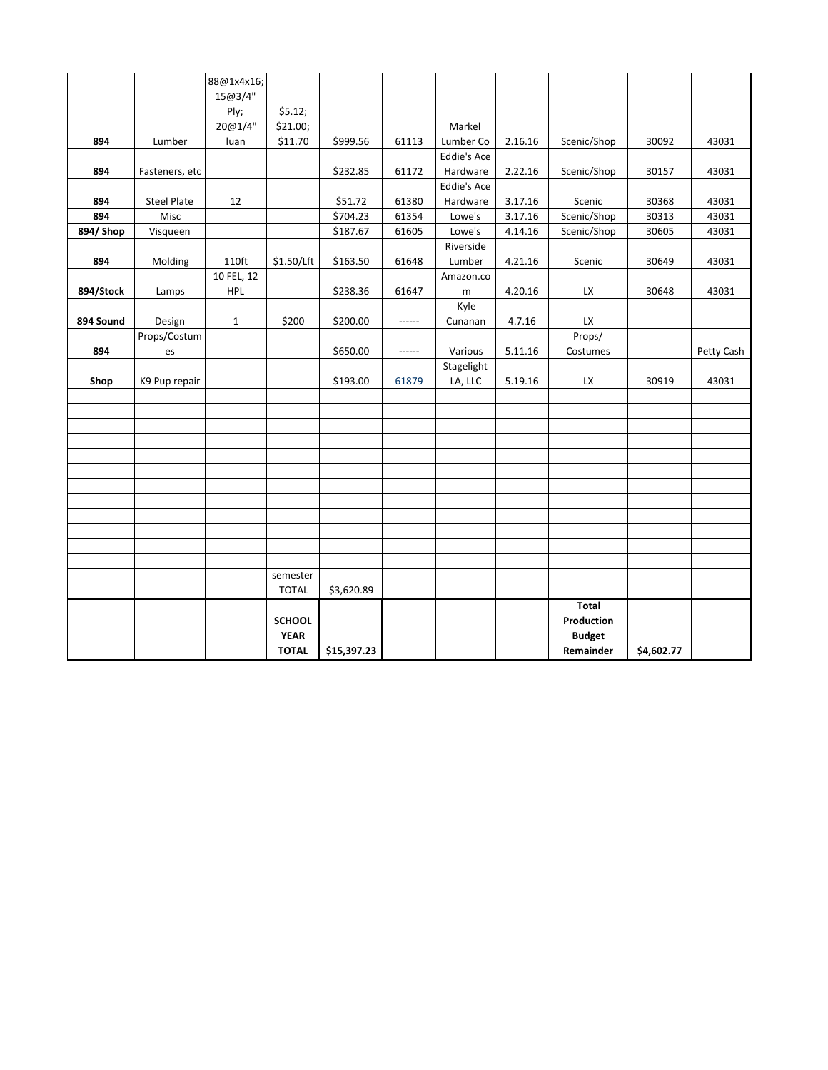|           |                    | 88@1x4x16;<br>15@3/4" |                              |             |        |                    |         |                            |            |            |
|-----------|--------------------|-----------------------|------------------------------|-------------|--------|--------------------|---------|----------------------------|------------|------------|
|           |                    | Ply;                  | \$5.12;                      |             |        |                    |         |                            |            |            |
|           |                    | 20@1/4"               | \$21.00;                     |             |        | Markel             |         |                            |            |            |
| 894       | Lumber             | luan                  | \$11.70                      | \$999.56    | 61113  | Lumber Co          | 2.16.16 | Scenic/Shop                | 30092      | 43031      |
|           |                    |                       |                              |             |        | <b>Eddie's Ace</b> |         |                            |            |            |
| 894       | Fasteners, etc     |                       |                              | \$232.85    | 61172  | Hardware           | 2.22.16 | Scenic/Shop                | 30157      | 43031      |
|           |                    |                       |                              |             |        | <b>Eddie's Ace</b> |         |                            |            |            |
| 894       | <b>Steel Plate</b> | 12                    |                              | \$51.72     | 61380  | Hardware           | 3.17.16 | Scenic                     | 30368      | 43031      |
| 894       | Misc               |                       |                              | \$704.23    | 61354  | Lowe's             | 3.17.16 | Scenic/Shop                | 30313      | 43031      |
| 894/ Shop | Visqueen           |                       |                              | \$187.67    | 61605  | Lowe's             | 4.14.16 | Scenic/Shop                | 30605      | 43031      |
|           |                    |                       |                              |             |        | Riverside          |         |                            |            |            |
| 894       | Molding            | 110ft                 | \$1.50/Lft                   | \$163.50    | 61648  | Lumber             | 4.21.16 | Scenic                     | 30649      | 43031      |
|           |                    | 10 FEL, 12            |                              |             |        | Amazon.co          |         |                            |            |            |
| 894/Stock | Lamps              | <b>HPL</b>            |                              | \$238.36    | 61647  | m                  | 4.20.16 | LX                         | 30648      | 43031      |
|           |                    |                       |                              |             |        | Kyle               |         |                            |            |            |
| 894 Sound | Design             | $\mathbf{1}$          | \$200                        | \$200.00    | ------ | Cunanan            | 4.7.16  | LX                         |            |            |
|           | Props/Costum       |                       |                              |             |        |                    |         | Props/                     |            |            |
| 894       | es                 |                       |                              | \$650.00    | ------ | Various            | 5.11.16 | Costumes                   |            | Petty Cash |
|           |                    |                       |                              |             |        | Stagelight         |         |                            |            |            |
| Shop      | K9 Pup repair      |                       |                              | \$193.00    | 61879  | LA, LLC            | 5.19.16 | LX                         | 30919      | 43031      |
|           |                    |                       |                              |             |        |                    |         |                            |            |            |
|           |                    |                       |                              |             |        |                    |         |                            |            |            |
|           |                    |                       |                              |             |        |                    |         |                            |            |            |
|           |                    |                       |                              |             |        |                    |         |                            |            |            |
|           |                    |                       |                              |             |        |                    |         |                            |            |            |
|           |                    |                       |                              |             |        |                    |         |                            |            |            |
|           |                    |                       |                              |             |        |                    |         |                            |            |            |
|           |                    |                       |                              |             |        |                    |         |                            |            |            |
|           |                    |                       |                              |             |        |                    |         |                            |            |            |
|           |                    |                       |                              |             |        |                    |         |                            |            |            |
|           |                    |                       |                              |             |        |                    |         |                            |            |            |
|           |                    |                       |                              |             |        |                    |         |                            |            |            |
|           |                    |                       | semester                     |             |        |                    |         |                            |            |            |
|           |                    |                       | <b>TOTAL</b>                 | \$3,620.89  |        |                    |         |                            |            |            |
|           |                    |                       |                              |             |        |                    |         | <b>Total</b>               |            |            |
|           |                    |                       | <b>SCHOOL</b><br><b>YEAR</b> |             |        |                    |         | Production                 |            |            |
|           |                    |                       | <b>TOTAL</b>                 | \$15,397.23 |        |                    |         | <b>Budget</b><br>Remainder | \$4,602.77 |            |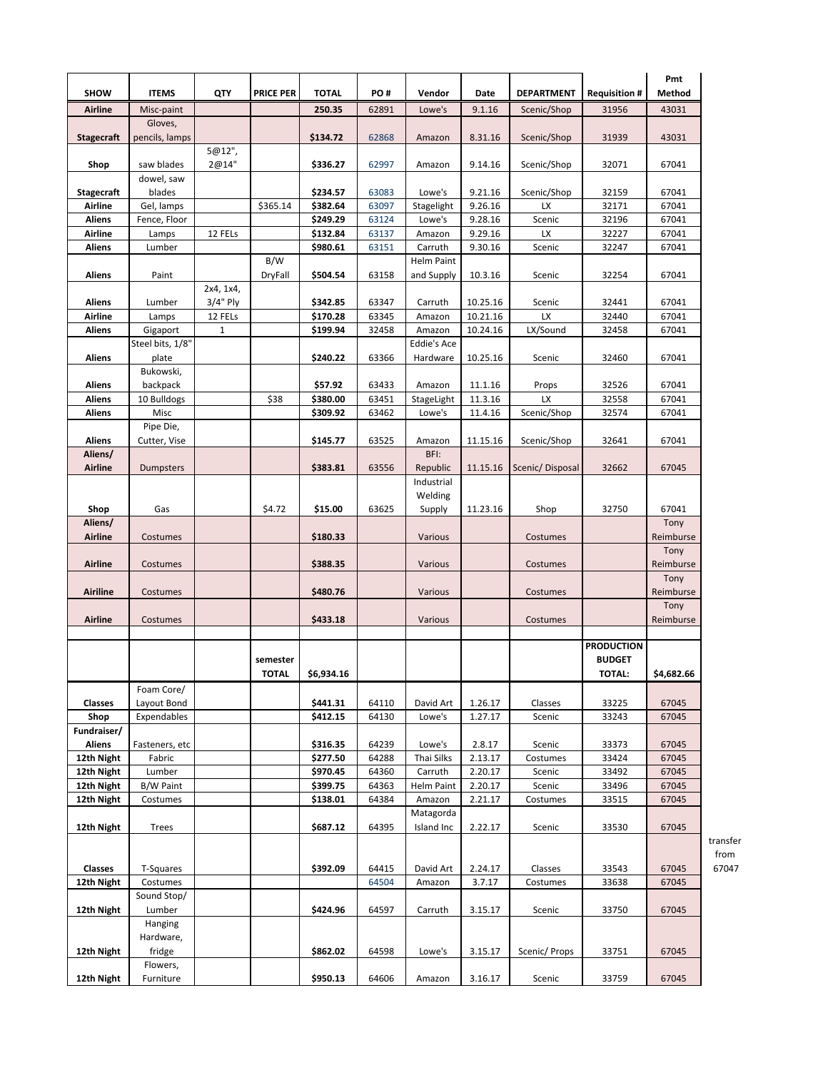|                          |                           |              |                  |                      |                |                                 |                    |                   |                     | Pmt               |
|--------------------------|---------------------------|--------------|------------------|----------------------|----------------|---------------------------------|--------------------|-------------------|---------------------|-------------------|
| <b>SHOW</b>              | <b>ITEMS</b>              | QTY          | <b>PRICE PER</b> | <b>TOTAL</b>         | PO#            | Vendor                          | Date               | <b>DEPARTMENT</b> | <b>Requisition#</b> | Method            |
| Airline                  | Misc-paint                |              |                  | 250.35               | 62891          | Lowe's                          | 9.1.16             | Scenic/Shop       | 31956               | 43031             |
| <b>Stagecraft</b>        | Gloves,<br>pencils, lamps |              |                  | \$134.72             | 62868          | Amazon                          | 8.31.16            | Scenic/Shop       | 31939               | 43031             |
|                          |                           | 5@12",       |                  |                      |                |                                 |                    |                   |                     |                   |
| Shop                     | saw blades<br>dowel, saw  | 2@14"        |                  | \$336.27             | 62997          | Amazon                          | 9.14.16            | Scenic/Shop       | 32071               | 67041             |
| <b>Stagecraft</b>        | blades                    |              |                  | \$234.57             | 63083          | Lowe's                          | 9.21.16            | Scenic/Shop       | 32159               | 67041             |
| <b>Airline</b>           | Gel, lamps                |              | \$365.14         | \$382.64             | 63097          | Stagelight                      | 9.26.16            | <b>LX</b>         | 32171               | 67041             |
| Aliens                   | Fence, Floor              |              |                  | \$249.29             | 63124          | Lowe's                          | 9.28.16            | Scenic            | 32196               | 67041             |
| Airline                  | Lamps                     | 12 FELs      |                  | \$132.84             | 63137          | Amazon                          | 9.29.16            | LX                | 32227               | 67041             |
| Aliens                   | Lumber                    |              |                  | \$980.61             | 63151          | Carruth                         | 9.30.16            | Scenic            | 32247               | 67041             |
| Aliens                   | Paint                     |              | B/W<br>DryFall   | \$504.54             | 63158          | <b>Helm Paint</b><br>and Supply | 10.3.16            | Scenic            | 32254               | 67041             |
|                          |                           | 2x4, 1x4,    |                  |                      |                |                                 |                    |                   |                     |                   |
| Aliens                   | Lumber                    | 3/4" Ply     |                  | \$342.85             | 63347          | Carruth                         | 10.25.16           | Scenic            | 32441               | 67041             |
| Airline                  | Lamps                     | 12 FELs      |                  | \$170.28             | 63345          | Amazon                          | 10.21.16           | LX                | 32440               | 67041             |
| Aliens                   | Gigaport                  | $\mathbf{1}$ |                  | \$199.94             | 32458          | Amazon<br><b>Eddie's Ace</b>    | 10.24.16           | LX/Sound          | 32458               | 67041             |
| <b>Aliens</b>            | Steel bits, 1/8"          |              |                  | \$240.22             | 63366          | Hardware                        | 10.25.16           | Scenic            | 32460               | 67041             |
|                          | plate<br>Bukowski,        |              |                  |                      |                |                                 |                    |                   |                     |                   |
| <b>Aliens</b>            | backpack                  |              |                  | \$57.92              | 63433          | Amazon                          | 11.1.16            | Props             | 32526               | 67041             |
| Aliens                   | 10 Bulldogs               |              | \$38             | \$380.00             | 63451          | StageLight                      | 11.3.16            | <b>LX</b>         | 32558               | 67041             |
| Aliens                   | Misc                      |              |                  | \$309.92             | 63462          | Lowe's                          | 11.4.16            | Scenic/Shop       | 32574               | 67041             |
|                          | Pipe Die,                 |              |                  |                      |                |                                 |                    |                   |                     |                   |
| Aliens                   | Cutter, Vise              |              |                  | \$145.77             | 63525          | Amazon                          | 11.15.16           | Scenic/Shop       | 32641               | 67041             |
| Aliens/                  |                           |              |                  |                      |                | BFI:                            |                    |                   |                     |                   |
| Airline                  | Dumpsters                 |              |                  | \$383.81             | 63556          | Republic                        | 11.15.16           | Scenic/Disposal   | 32662               | 67045             |
|                          |                           |              |                  |                      |                | Industrial                      |                    |                   |                     |                   |
|                          |                           |              |                  |                      |                | Welding                         |                    |                   |                     |                   |
| Shop                     | Gas                       |              | \$4.72           | \$15.00              | 63625          | Supply                          | 11.23.16           | Shop              | 32750               | 67041             |
| Aliens/                  |                           |              |                  |                      |                |                                 |                    |                   |                     | Tony              |
| Airline                  | Costumes                  |              |                  | \$180.33             |                | Various                         |                    | Costumes          |                     | Reimburse         |
| <b>Airline</b>           | Costumes                  |              |                  | \$388.35             |                | Various                         |                    | Costumes          |                     | Tony<br>Reimburse |
| <b>Airiline</b>          | Costumes                  |              |                  | \$480.76             |                | Various                         |                    | Costumes          |                     | Tony<br>Reimburse |
|                          |                           |              |                  |                      |                |                                 |                    |                   |                     | Tony              |
| Airline                  | Costumes                  |              |                  | \$433.18             |                | Various                         |                    | Costumes          |                     | Reimburse         |
|                          |                           |              |                  |                      |                |                                 |                    |                   |                     |                   |
|                          |                           |              |                  |                      |                |                                 |                    |                   | <b>PRODUCTION</b>   |                   |
|                          |                           |              | semester         |                      |                |                                 |                    |                   | <b>BUDGET</b>       |                   |
|                          |                           |              | <b>TOTAL</b>     | \$6,934.16           |                |                                 |                    |                   | <b>TOTAL:</b>       | \$4,682.66        |
|                          | Foam Core/                |              |                  |                      |                |                                 |                    |                   |                     |                   |
| Classes                  | Layout Bond               |              |                  | \$441.31             | 64110          | David Art                       | 1.26.17            | Classes           | 33225               | 67045             |
| Shop                     | Expendables               |              |                  | \$412.15             | 64130          | Lowe's                          | 1.27.17            | Scenic            | 33243               | 67045             |
| Fundraiser/              |                           |              |                  |                      |                |                                 |                    |                   |                     |                   |
| Aliens                   | Fasteners, etc            |              |                  | \$316.35             | 64239          | Lowe's                          | 2.8.17             | Scenic            | 33373               | 67045             |
| 12th Night               | Fabric                    |              |                  | \$277.50             | 64288          | Thai Silks                      | 2.13.17            | Costumes          | 33424               | 67045             |
| 12th Night               | Lumber                    |              |                  | \$970.45             | 64360          | Carruth                         | 2.20.17            | Scenic            | 33492               | 67045             |
| 12th Night<br>12th Night | B/W Paint<br>Costumes     |              |                  | \$399.75<br>\$138.01 | 64363<br>64384 | <b>Helm Paint</b>               | 2.20.17<br>2.21.17 | Scenic            | 33496<br>33515      | 67045<br>67045    |
|                          |                           |              |                  |                      |                | Amazon<br>Matagorda             |                    | Costumes          |                     |                   |
| 12th Night               | Trees                     |              |                  | \$687.12             | 64395          | Island Inc                      | 2.22.17            | Scenic            | 33530               | 67045             |
|                          |                           |              |                  |                      |                |                                 |                    |                   |                     |                   |
|                          |                           |              |                  |                      |                |                                 |                    |                   |                     |                   |
| Classes                  | T-Squares                 |              |                  | \$392.09             | 64415          | David Art                       | 2.24.17            | Classes           | 33543               | 67045             |
| 12th Night               | Costumes                  |              |                  |                      | 64504          | Amazon                          | 3.7.17             | Costumes          | 33638               | 67045             |
|                          | Sound Stop/               |              |                  |                      |                |                                 |                    |                   |                     |                   |
| 12th Night               | Lumber                    |              |                  | \$424.96             | 64597          | Carruth                         | 3.15.17            | Scenic            | 33750               | 67045             |
|                          | Hanging                   |              |                  |                      |                |                                 |                    |                   |                     |                   |
|                          | Hardware,                 |              |                  |                      |                |                                 |                    |                   |                     |                   |
| 12th Night               | fridge                    |              |                  | \$862.02             | 64598          | Lowe's                          | 3.15.17            | Scenic/Props      | 33751               | 67045             |
|                          | Flowers,                  |              |                  |                      |                |                                 |                    |                   |                     |                   |
| 12th Night               | Furniture                 |              |                  | \$950.13             | 64606          | Amazon                          | 3.16.17            | Scenic            | 33759               | 67045             |

transfer from 67047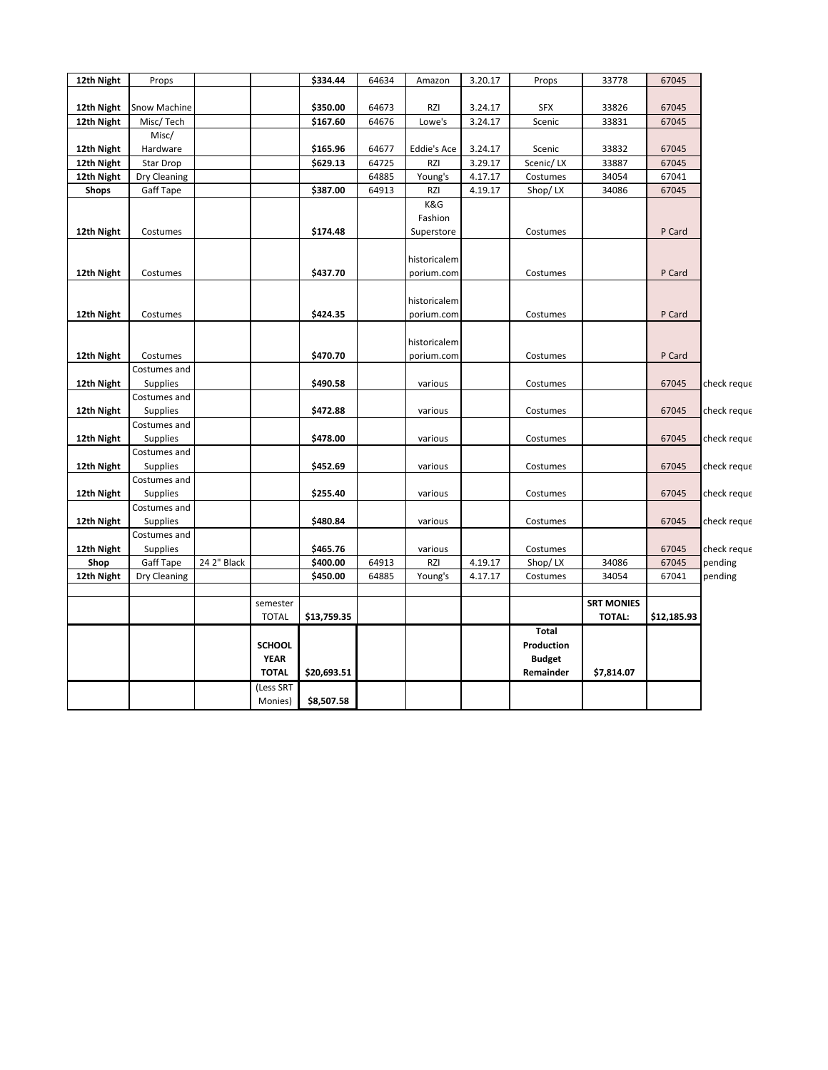| 12th Night | Props            |             |                          | \$334.44    | 64634 | Amazon       | 3.20.17 | Props         | 33778             | 67045       |             |
|------------|------------------|-------------|--------------------------|-------------|-------|--------------|---------|---------------|-------------------|-------------|-------------|
|            |                  |             |                          |             |       |              |         |               |                   |             |             |
| 12th Night | Snow Machine     |             |                          | \$350.00    | 64673 | RZI          | 3.24.17 | <b>SFX</b>    | 33826             | 67045       |             |
| 12th Night | Misc/Tech        |             |                          | \$167.60    | 64676 | Lowe's       | 3.24.17 | Scenic        | 33831             | 67045       |             |
|            | Misc/            |             |                          |             |       |              |         |               |                   |             |             |
| 12th Night | Hardware         |             |                          | \$165.96    | 64677 | Eddie's Ace  | 3.24.17 | Scenic        | 33832             | 67045       |             |
| 12th Night | <b>Star Drop</b> |             |                          | \$629.13    | 64725 | RZI          | 3.29.17 | Scenic/LX     | 33887             | 67045       |             |
| 12th Night | Dry Cleaning     |             |                          |             | 64885 | Young's      | 4.17.17 | Costumes      | 34054             | 67041       |             |
| Shops      | Gaff Tape        |             |                          | \$387.00    | 64913 | <b>RZI</b>   | 4.19.17 | Shop/LX       | 34086             | 67045       |             |
|            |                  |             |                          |             |       | K&G          |         |               |                   |             |             |
|            |                  |             |                          |             |       | Fashion      |         |               |                   |             |             |
| 12th Night | Costumes         |             |                          | \$174.48    |       | Superstore   |         | Costumes      |                   | P Card      |             |
|            |                  |             |                          |             |       |              |         |               |                   |             |             |
|            |                  |             |                          |             |       | historicalem |         |               |                   |             |             |
| 12th Night | Costumes         |             |                          | \$437.70    |       | porium.com   |         | Costumes      |                   | P Card      |             |
|            |                  |             |                          |             |       |              |         |               |                   |             |             |
|            |                  |             |                          |             |       | historicalem |         |               |                   |             |             |
| 12th Night | Costumes         |             |                          | \$424.35    |       | porium.com   |         | Costumes      |                   | P Card      |             |
|            |                  |             |                          |             |       |              |         |               |                   |             |             |
|            |                  |             |                          |             |       | historicalem |         |               |                   |             |             |
| 12th Night | Costumes         |             |                          | \$470.70    |       | porium.com   |         | Costumes      |                   | P Card      |             |
|            | Costumes and     |             |                          |             |       |              |         |               |                   |             |             |
| 12th Night | <b>Supplies</b>  |             |                          | \$490.58    |       | various      |         | Costumes      |                   | 67045       | check reque |
|            | Costumes and     |             |                          |             |       |              |         |               |                   |             |             |
| 12th Night | Supplies         |             |                          | \$472.88    |       | various      |         | Costumes      |                   | 67045       | check reque |
|            | Costumes and     |             |                          |             |       |              |         |               |                   |             |             |
| 12th Night | <b>Supplies</b>  |             |                          | \$478.00    |       | various      |         | Costumes      |                   | 67045       | check reque |
|            | Costumes and     |             |                          |             |       |              |         |               |                   |             |             |
| 12th Night | <b>Supplies</b>  |             |                          | \$452.69    |       | various      |         | Costumes      |                   | 67045       | check reque |
|            | Costumes and     |             |                          |             |       |              |         |               |                   |             |             |
| 12th Night | <b>Supplies</b>  |             |                          | \$255.40    |       | various      |         | Costumes      |                   | 67045       | check reque |
|            | Costumes and     |             |                          |             |       |              |         |               |                   |             |             |
| 12th Night | Supplies         |             |                          | \$480.84    |       | various      |         | Costumes      |                   | 67045       | check reque |
|            | Costumes and     |             |                          |             |       |              |         |               |                   |             |             |
| 12th Night | Supplies         |             |                          | \$465.76    |       | various      |         | Costumes      |                   | 67045       | check reque |
| Shop       | Gaff Tape        | 24 2" Black |                          | \$400.00    | 64913 | RZI          | 4.19.17 | Shop/LX       | 34086             | 67045       | pending     |
| 12th Night | Dry Cleaning     |             |                          | \$450.00    | 64885 | Young's      | 4.17.17 | Costumes      | 34054             | 67041       | pending     |
|            |                  |             |                          |             |       |              |         |               | <b>SRT MONIES</b> |             |             |
|            |                  |             | semester<br><b>TOTAL</b> | \$13,759.35 |       |              |         |               | <b>TOTAL:</b>     | \$12,185.93 |             |
|            |                  |             |                          |             |       |              |         | Total         |                   |             |             |
|            |                  |             | <b>SCHOOL</b>            |             |       |              |         |               |                   |             |             |
|            |                  |             | <b>YEAR</b>              |             |       |              |         | Production    |                   |             |             |
|            |                  |             |                          |             |       |              |         | <b>Budget</b> |                   |             |             |
|            |                  |             | <b>TOTAL</b>             | \$20,693.51 |       |              |         | Remainder     | \$7,814.07        |             |             |
|            |                  |             | (Less SRT                |             |       |              |         |               |                   |             |             |
|            |                  |             | Monies)                  | \$8,507.58  |       |              |         |               |                   |             |             |